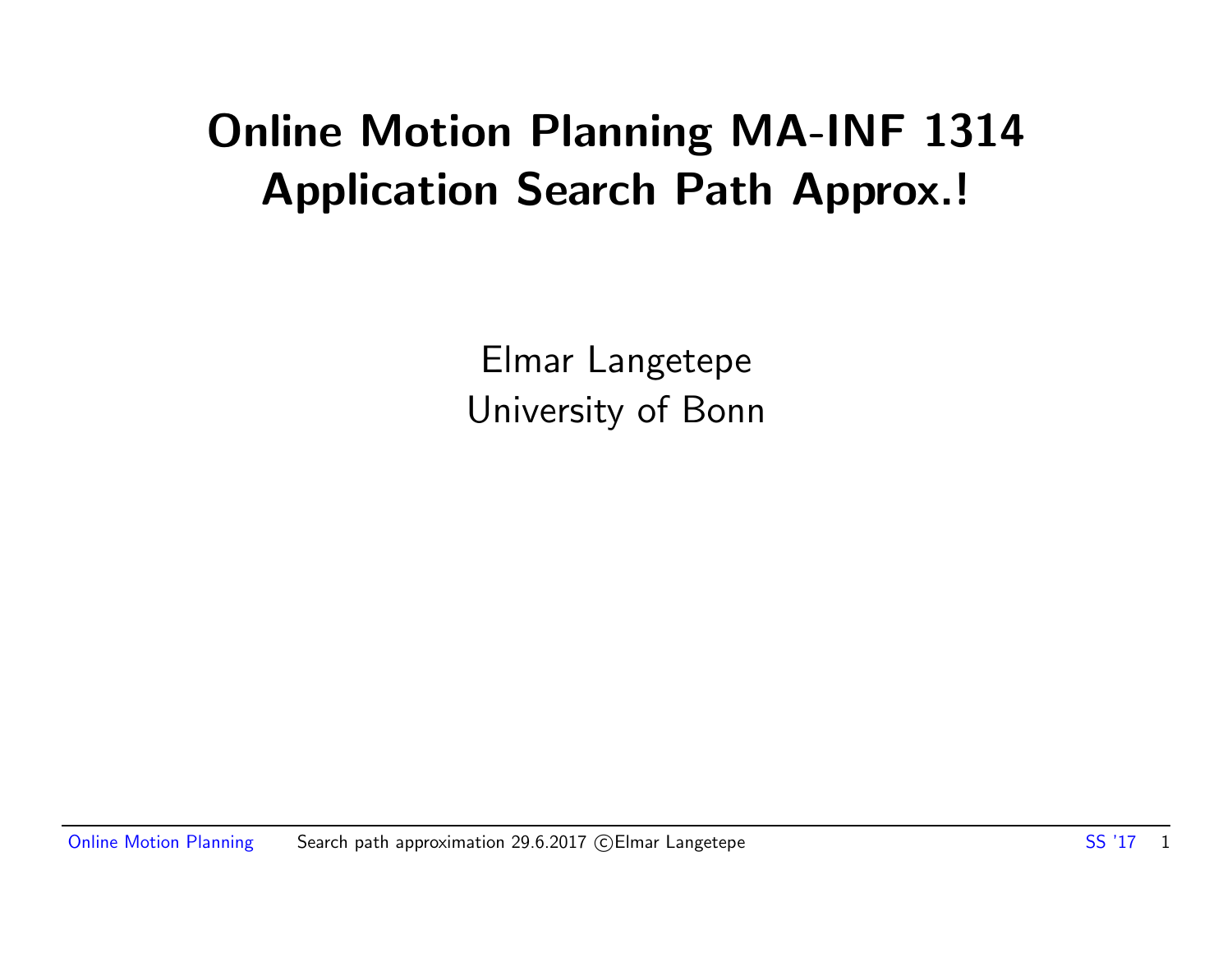### Online Motion Planning MA-INF 1314 Application Search Path Approx.!

Elmar Langetepe University of Bonn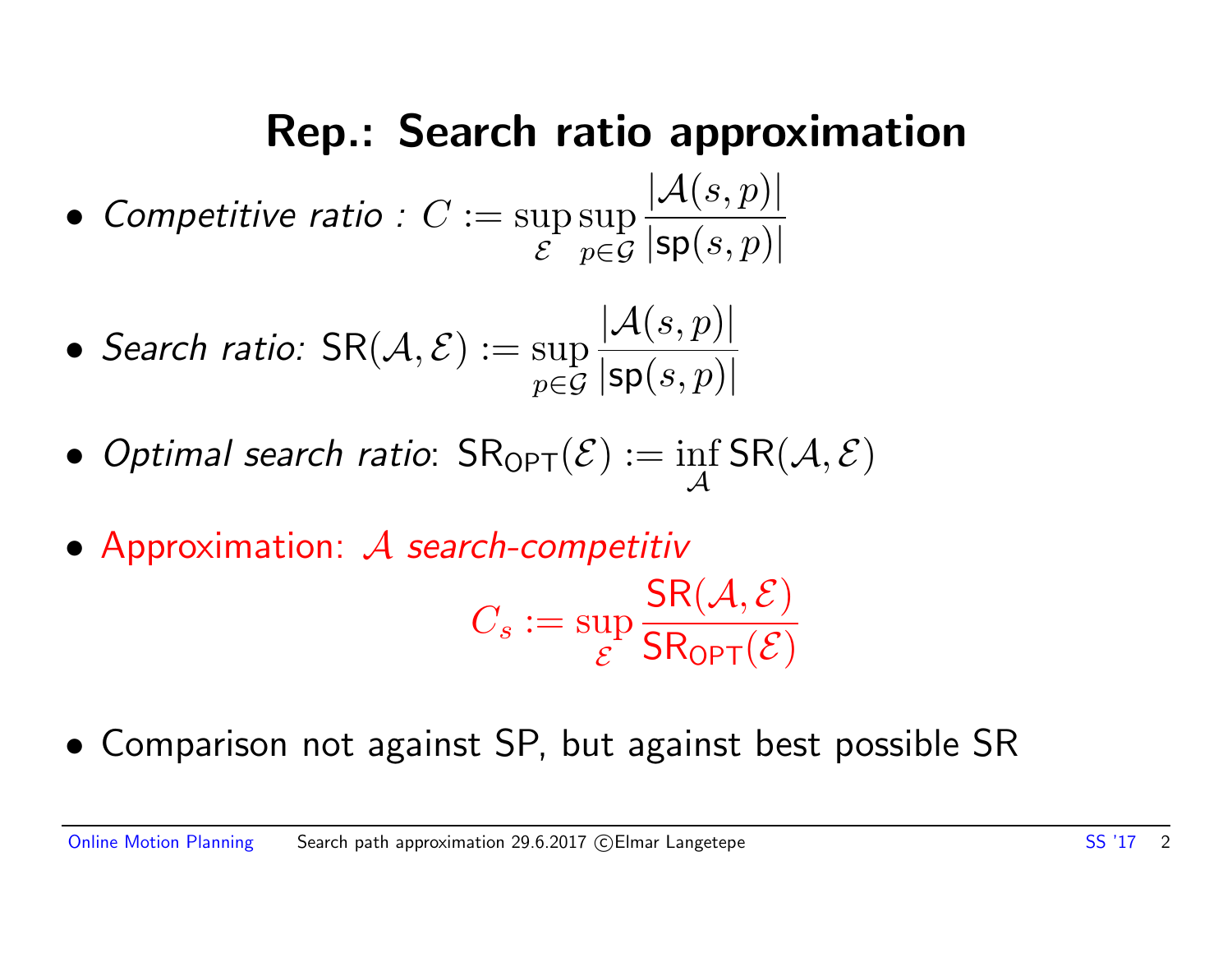### Rep.: Search ratio approximation

- Competitive ratio :  $C := \sup$  $\mathcal E$ sup p∈G  $|\mathcal{A}(s,p)|$  $|\mathsf{sp}(s,p)|$
- Search ratio:  $\mathsf{SR}(\mathcal{A}, \mathcal{E}) := \sup$ p∈G  $|\mathcal{A}(s,p)|$  $|\mathsf{sp}(s,p)|$
- $\bullet$  Optimal search ratio:  $\mathsf{SR}_{\mathsf{OPT}}(\mathcal{E}) := \inf_{\mathcal{A}}$  $\mathcal{A}$  $\mathsf{SR}(\mathcal{A}, \mathcal{E})$
- Approximation: A search-competitiv

$$
C_s := \sup_{\mathcal{E}} \frac{\mathsf{SR}(\mathcal{A}, \mathcal{E})}{\mathsf{SR_{OPT}}(\mathcal{E})}
$$

• Comparison not against SP, but against best possible SR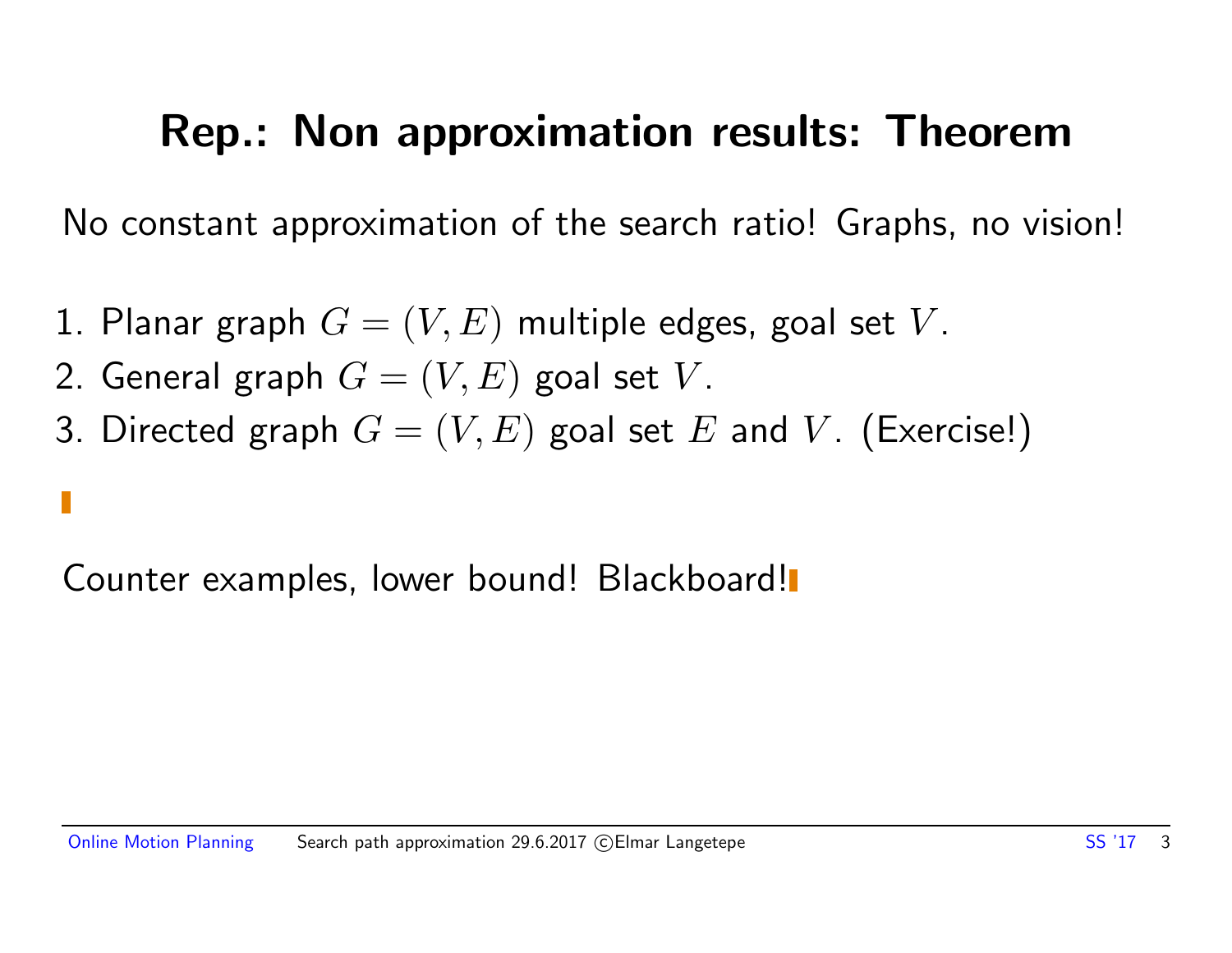### Rep.: Non approximation results: Theorem

No constant approximation of the search ratio! Graphs, no vision!

- 1. Planar graph  $G = (V, E)$  multiple edges, goal set V.
- 2. General graph  $G = (V, E)$  goal set V.
- 3. Directed graph  $G = (V, E)$  goal set E and V. (Exercise!)

Counter examples, lower bound! Blackboard!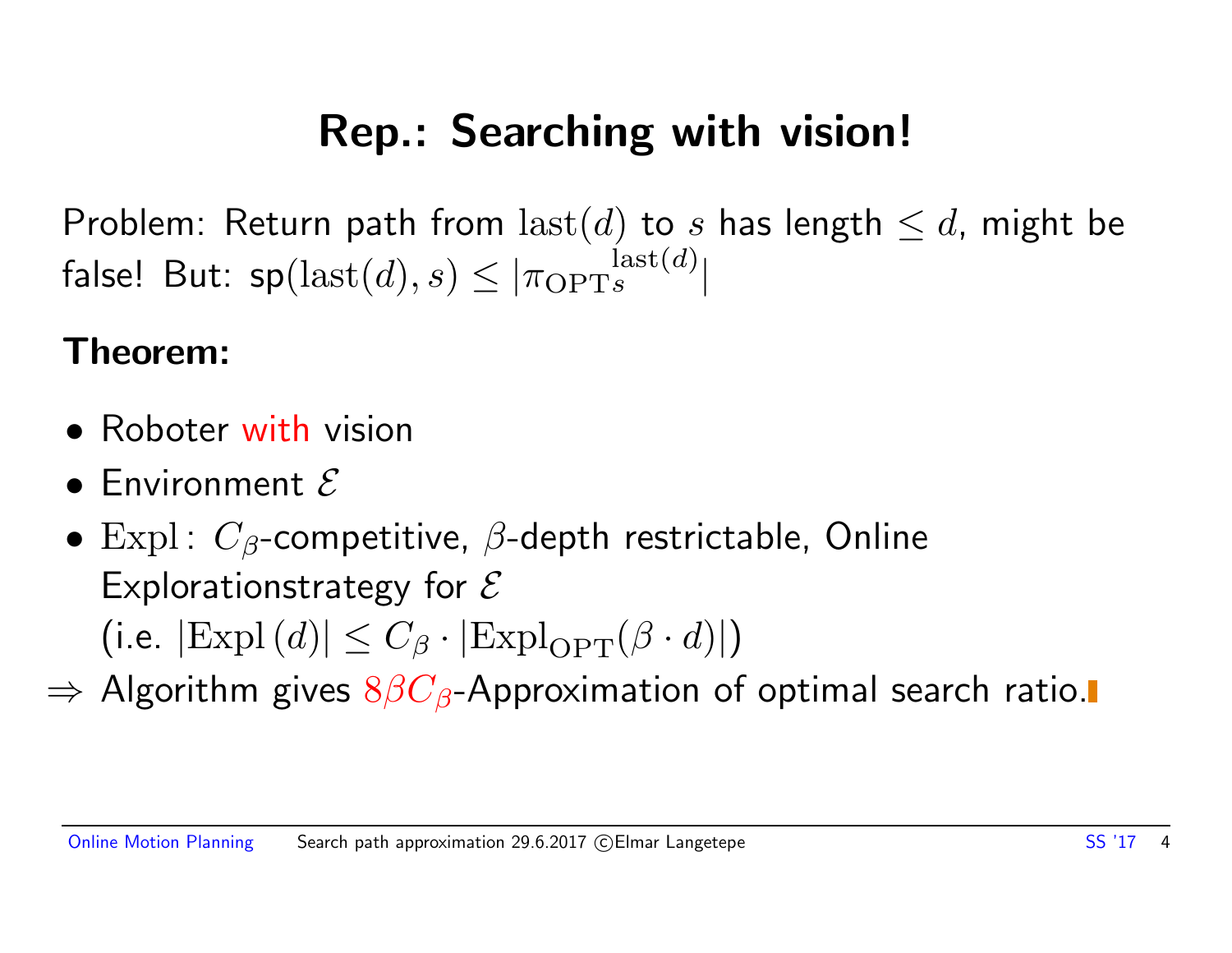### Rep.: Searching with vision!

Problem: Return path from last(d) to s has length  $\leq d$ , might be false! But:  $\mathsf{sp}(\operatorname{last}(d),s) \le |\pi_{\mathrm{OPT} s}^{\operatorname{last}(d)}|$ 

#### Theorem:

- Roboter with vision
- $\bullet$  Environment  $\mathcal E$
- Expl:  $C_{\beta}$ -competitive,  $\beta$ -depth restrictable, Online Explorationstrategy for  $\mathcal E$ (i.e.  $|\text{Exp}(d)| \leq C_\beta \cdot |\text{Expl}_{\text{OPT}}(\beta \cdot d)|$ )
- $\Rightarrow$  Algorithm gives  $8\beta C_{\beta}$ -Approximation of optimal search ratio.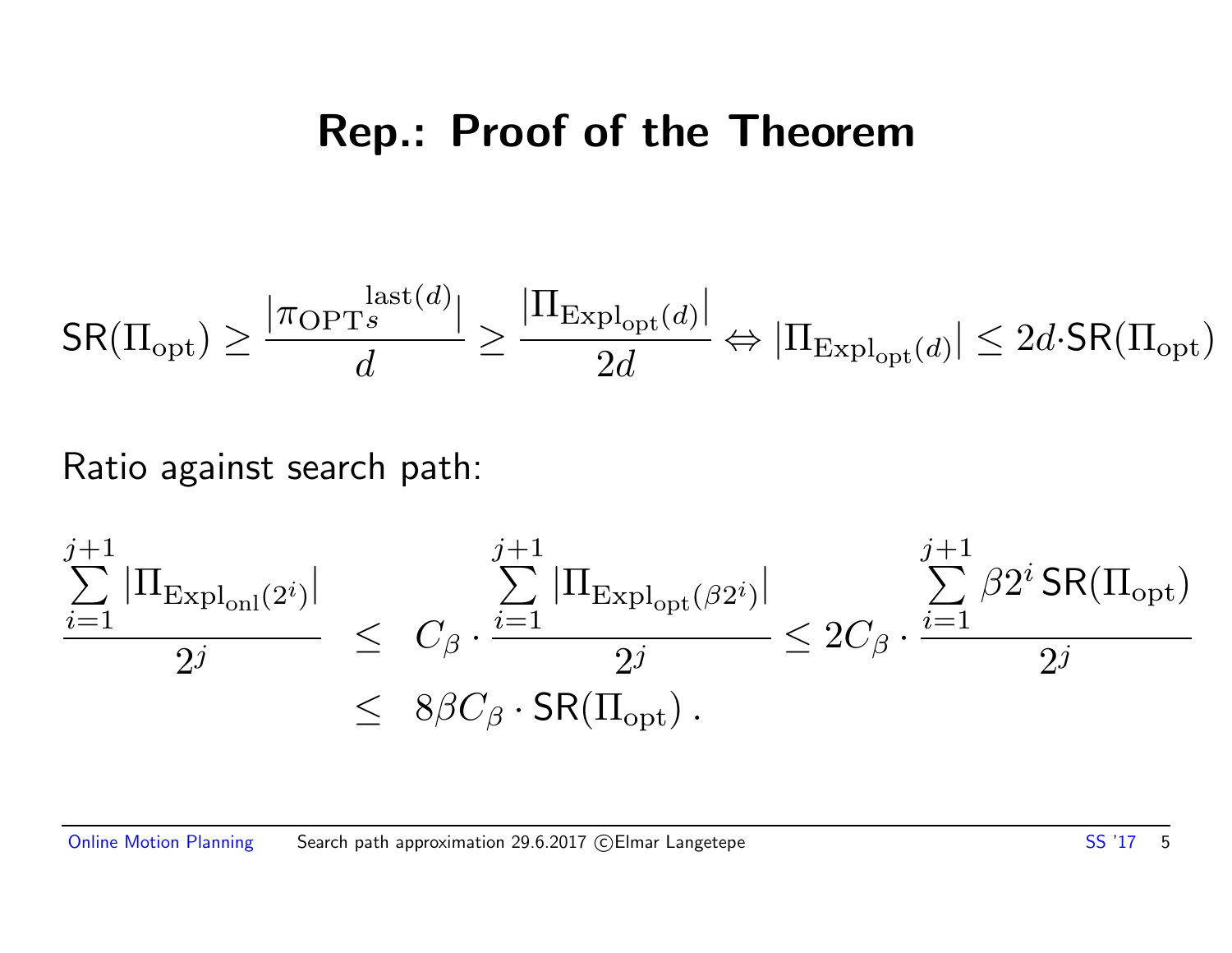### Rep.: Proof of the Theorem

$$
\mathsf{SR}(\Pi_{\mathrm{opt}}) \geq \frac{|\pi_{\mathrm{OPT}^s}^{\mathrm{last}(d)}|}{d} \geq \frac{|\Pi_{\mathrm{Expl}_{\mathrm{opt}}(d)}|}{2d} \Leftrightarrow |\Pi_{\mathrm{Expl}_{\mathrm{opt}}(d)}| \leq 2d\cdot \mathsf{SR}(\Pi_{\mathrm{opt}})
$$

#### Ratio against search path:

$$
\frac{\sum_{i=1}^{j+1} |\Pi_{\text{Expl}_{\text{onl}}(2^i)}|}{2^j} \leq C_{\beta} \cdot \frac{\sum_{i=1}^{j+1} |\Pi_{\text{Expl}_{\text{opt}}(\beta 2^i)}|}{2^j} \leq 2C_{\beta} \cdot \frac{\sum_{i=1}^{j+1} \beta 2^i \text{SR}(\Pi_{\text{opt}})}{2^j}
$$
  

$$
\leq 8\beta C_{\beta} \cdot \text{SR}(\Pi_{\text{opt}}).
$$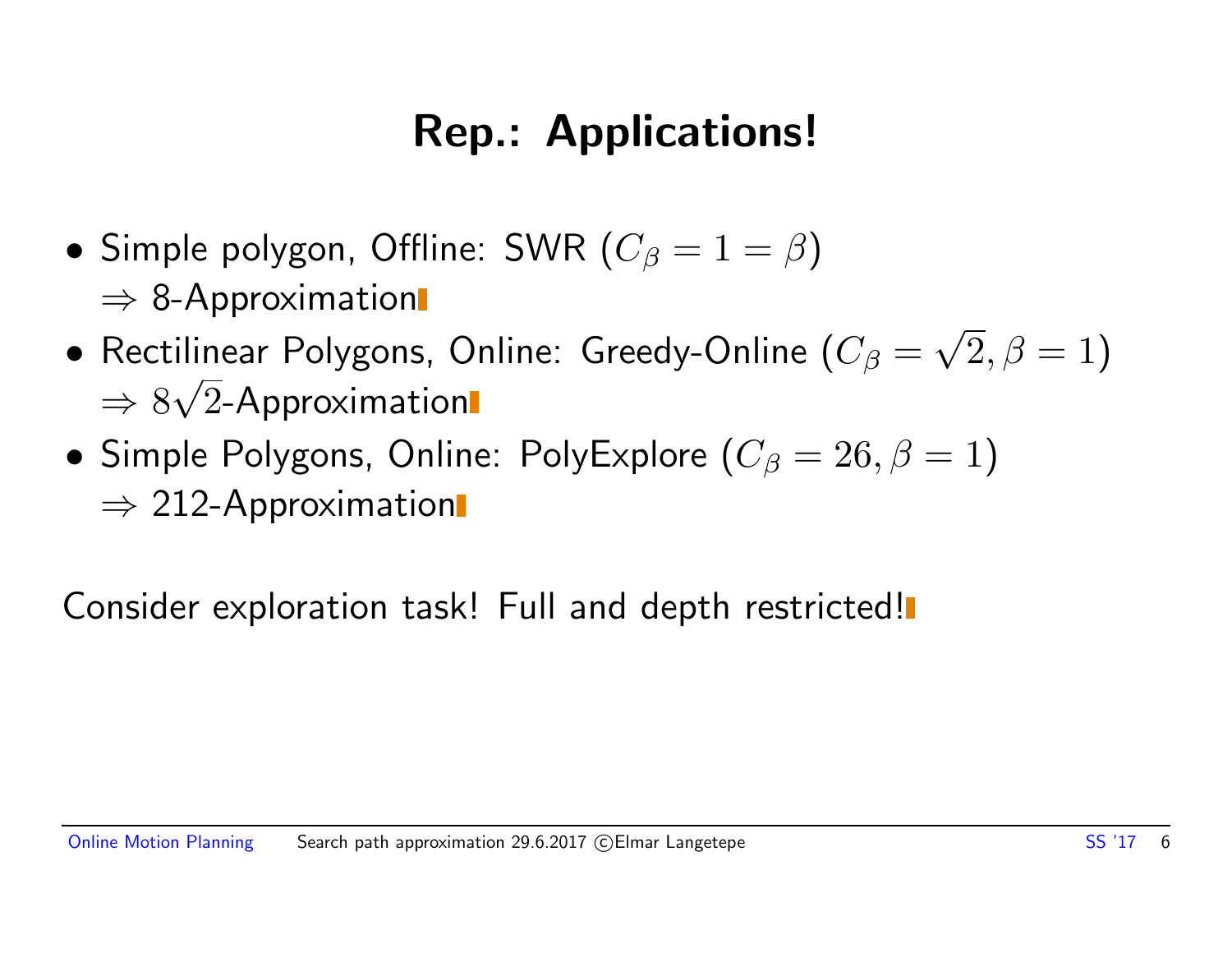### Rep.: Applications!

- Simple polygon, Offline: SWR  $(C_\beta = 1 = \beta)$  $\Rightarrow$  8-Approximation
- $\bullet$  Rectilinear Polygons, Online: Greedy-Online ( $C_\beta=$ √  $(2,\beta=1)$  $\Rightarrow 8\sqrt{2}$ -Approximation √
- Simple Polygons, Online: PolyExplore  $(C_\beta = 26, \beta = 1)$  $\Rightarrow$  212-Approximation

Consider exploration task! Full and depth restricted!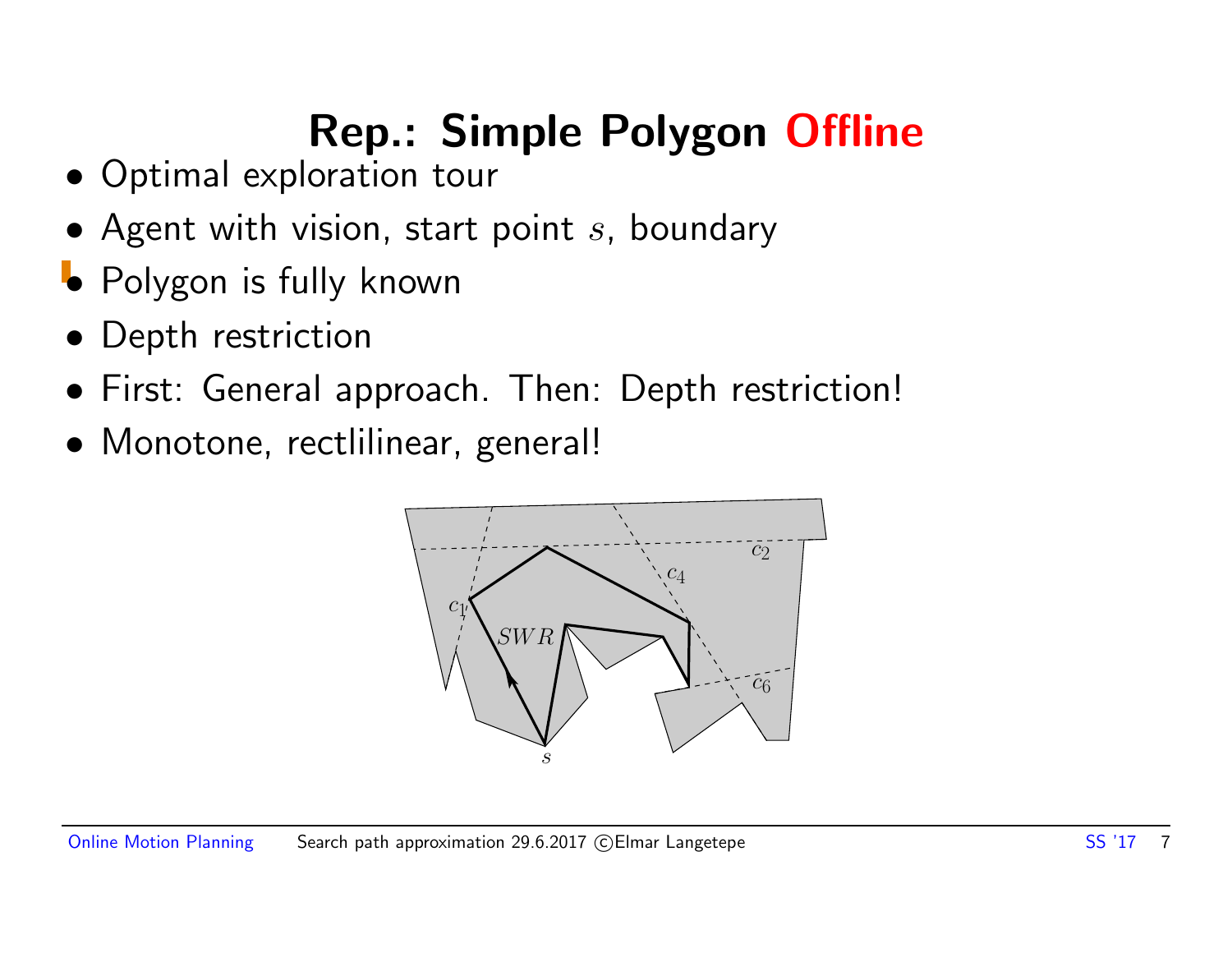### Rep.: Simple Polygon Offline

- Optimal exploration tour
- Agent with vision, start point  $s$ , boundary
- Polygon is fully known
- Depth restriction
- First: General approach. Then: Depth restriction!
- Monotone, rectlilinear, general!

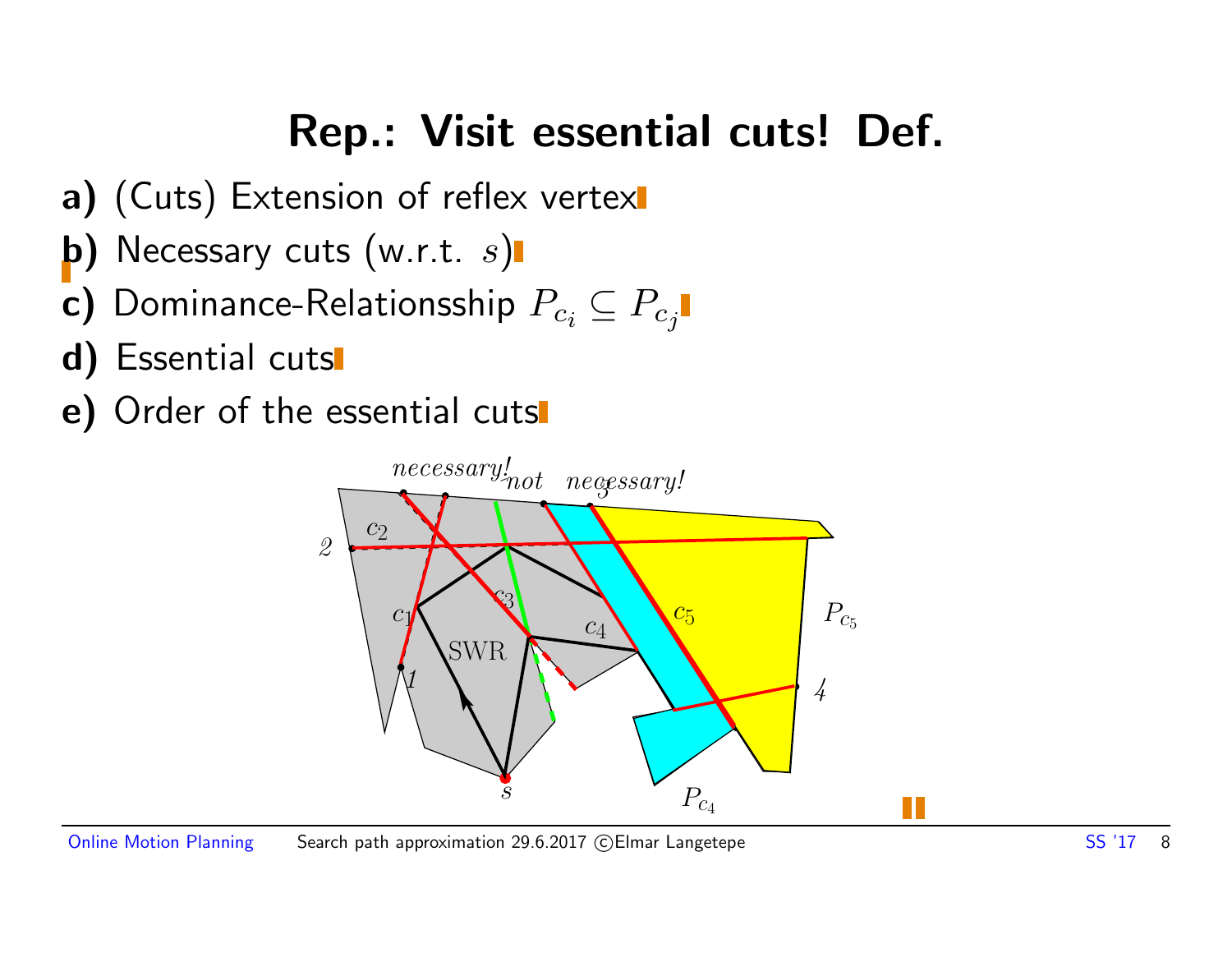### Rep.: Visit essential cuts! Def.

- a) (Cuts) Extension of reflex vertex
- b) Necessary cuts  $(w.r.t. s)$
- c) Dominance-Relationsship  $P_{c_i} \subseteq P_{c_j}$
- d) Essential cuts
- e) Order of the essential cuts

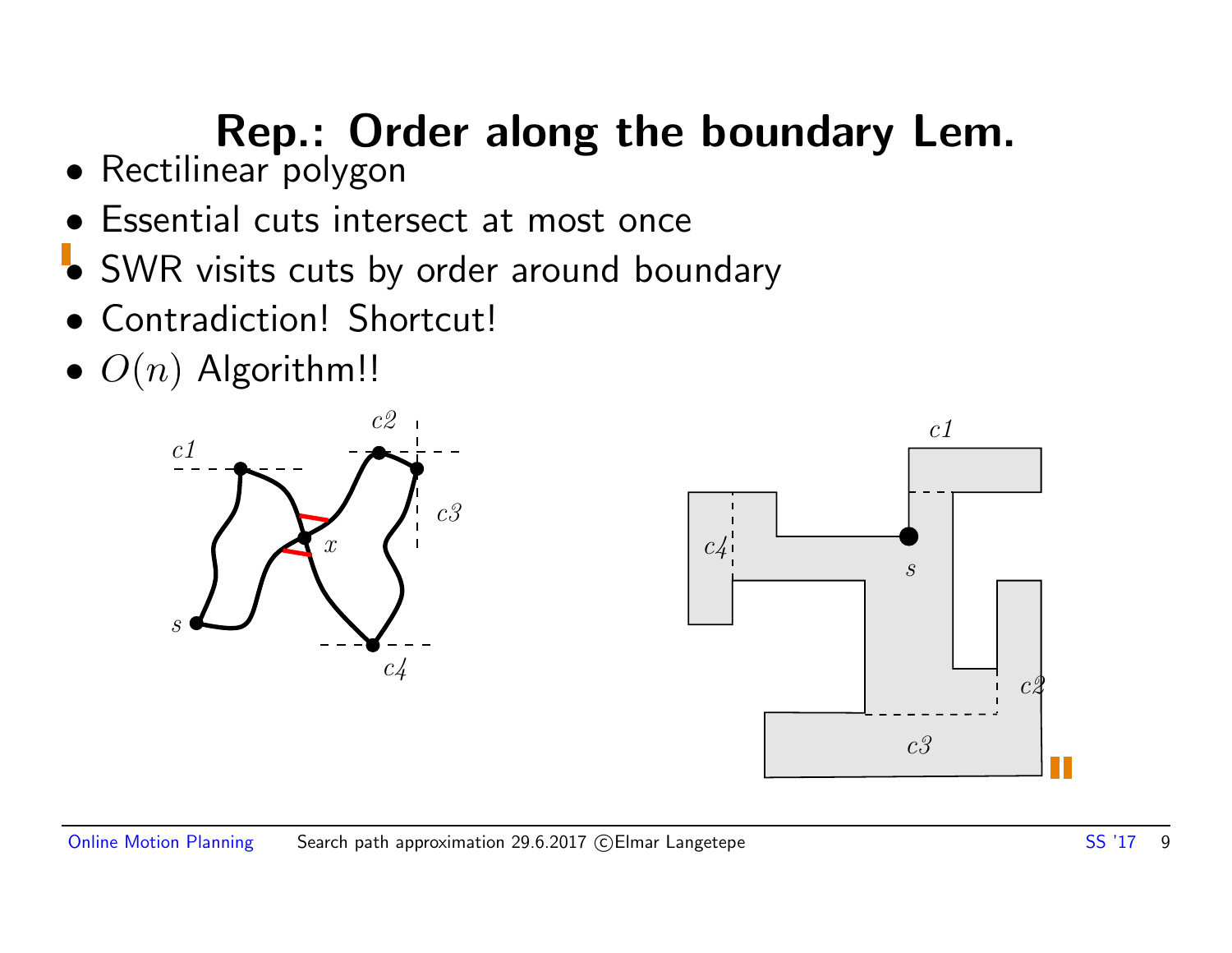### Rep.: Order along the boundary Lem.

- Rectilinear polygon
- Essential cuts intersect at most once
- SWR visits cuts by order around boundary
- Contradiction! Shortcut!
- $\bullet$   $O(n)$  Algorithm!!



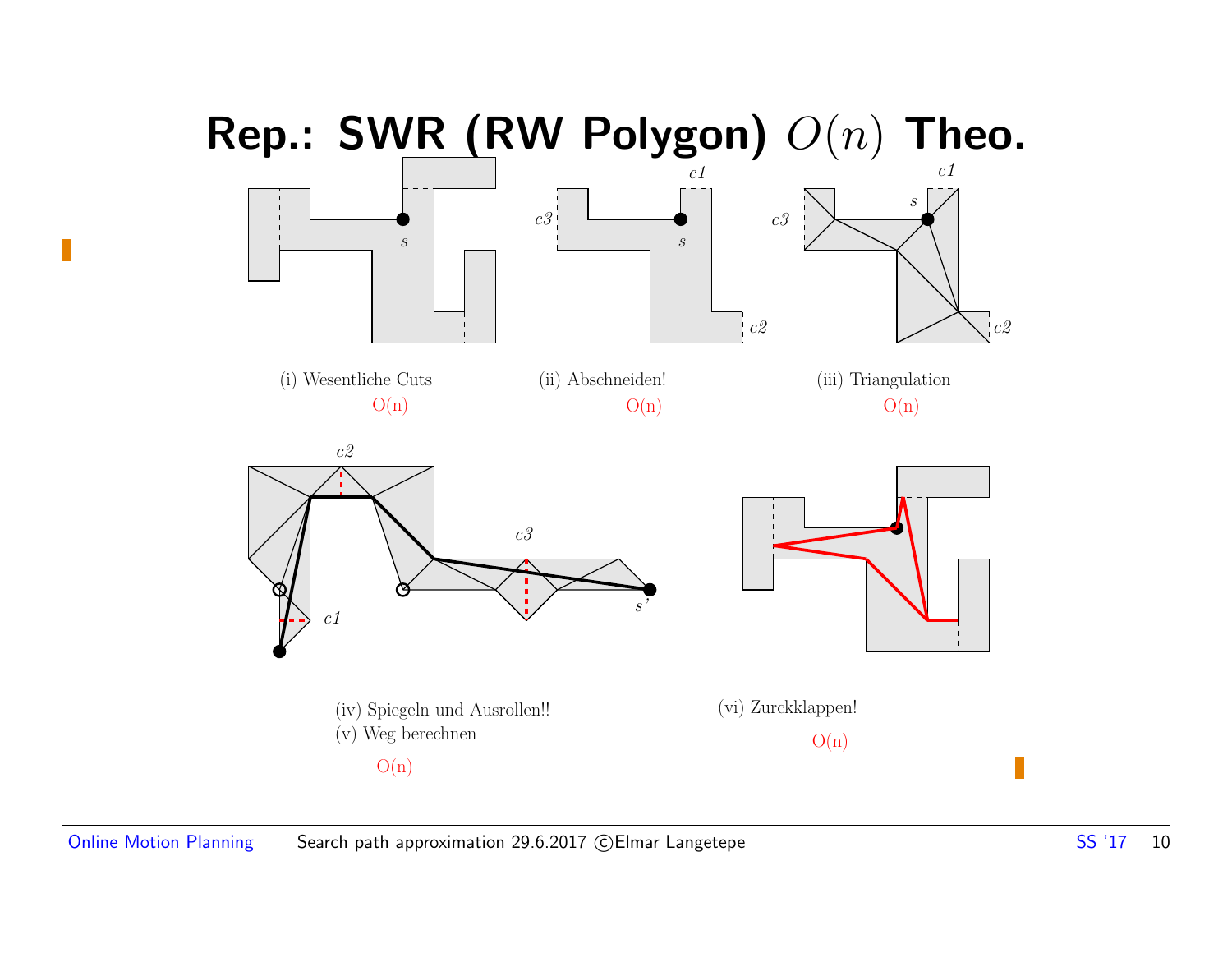

П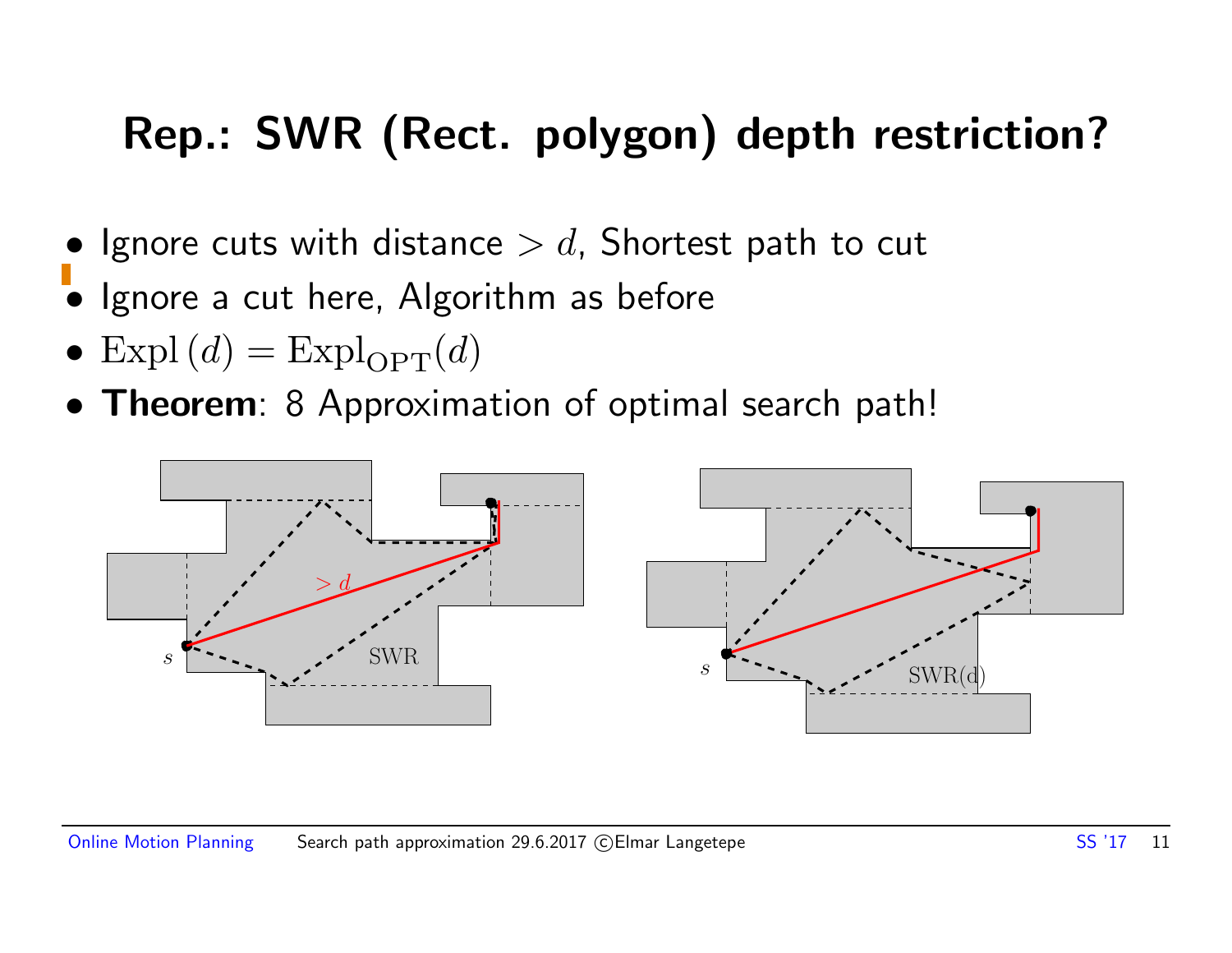### Rep.: SWR (Rect. polygon) depth restriction?

- Ignore cuts with distance  $> d$ , Shortest path to cut
- Ignore a cut here, Algorithm as before
- Expl $(d)$  = Expl<sub>OPT</sub> $(d)$
- **Theorem**: 8 Approximation of optimal search path!

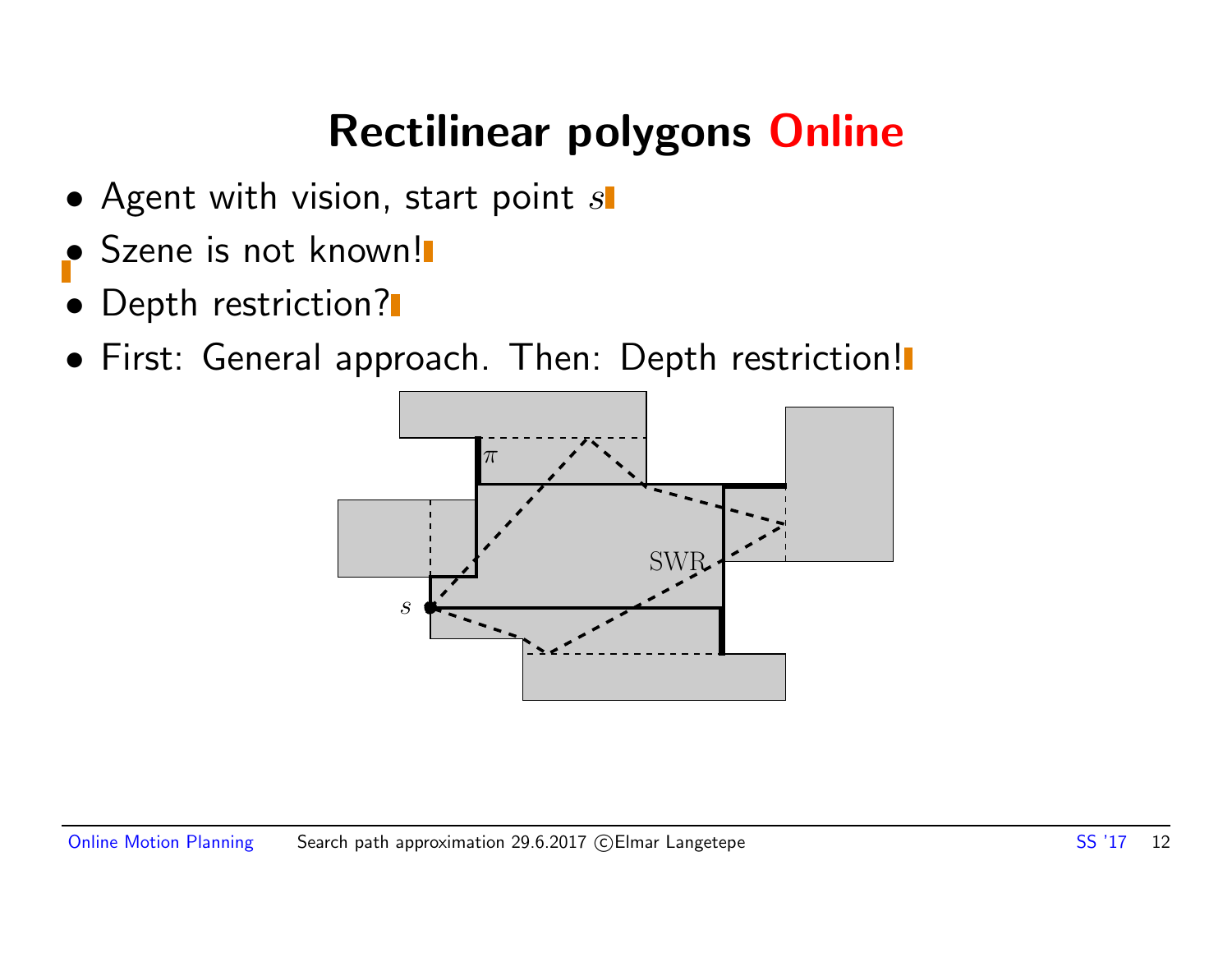### Rectilinear polygons Online

- Agent with vision, start point  $s$
- Szene is not known!
- Depth restriction?
- First: General approach. Then: Depth restriction!

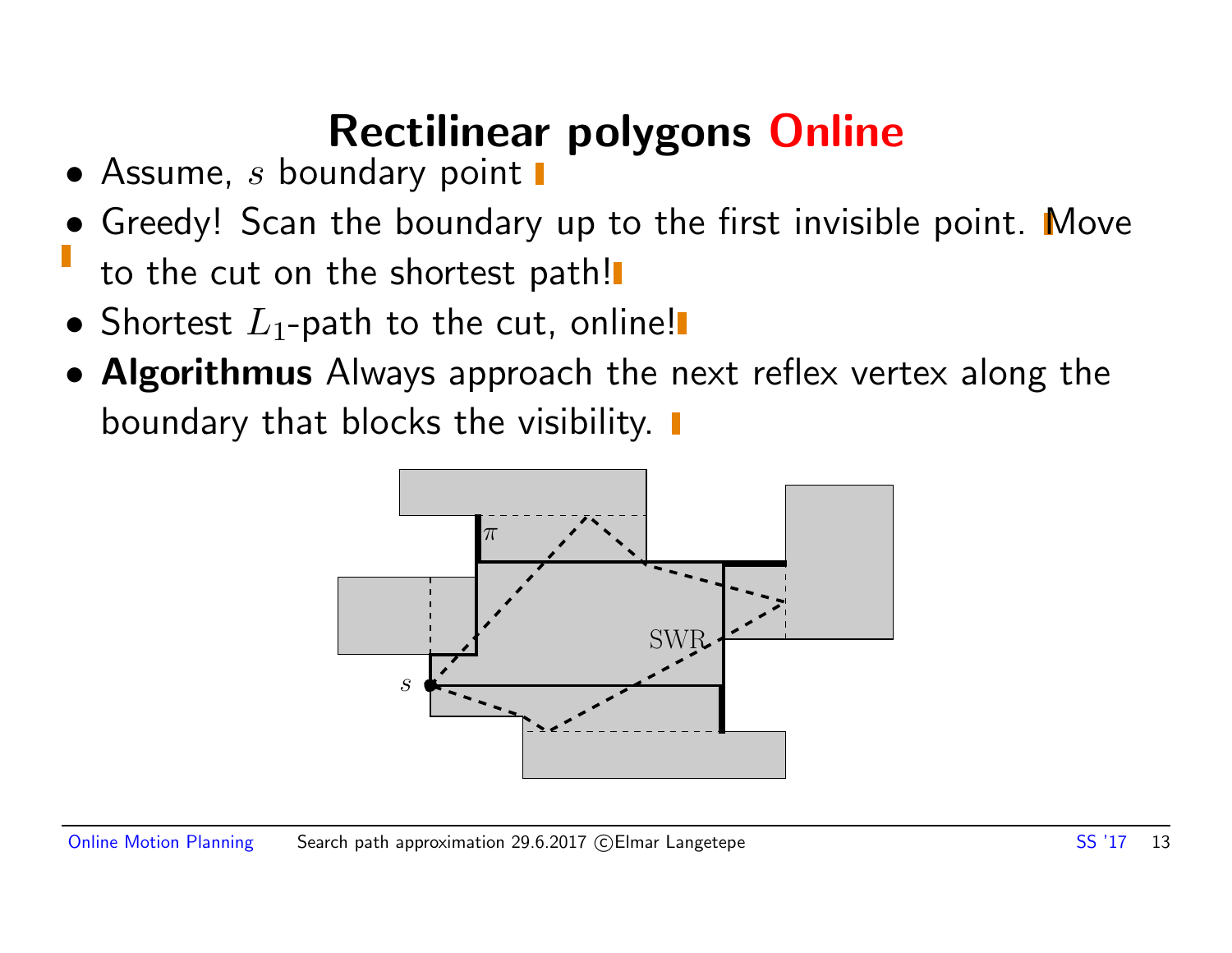### Rectilinear polygons Online

- $\bullet$  Assume, s boundary point  $\blacksquare$
- Greedy! Scan the boundary up to the first invisible point. Move to the cut on the shortest path!
- Shortest  $L_1$ -path to the cut, online!
- Algorithmus Always approach the next reflex vertex along the boundary that blocks the visibility.  $\blacksquare$

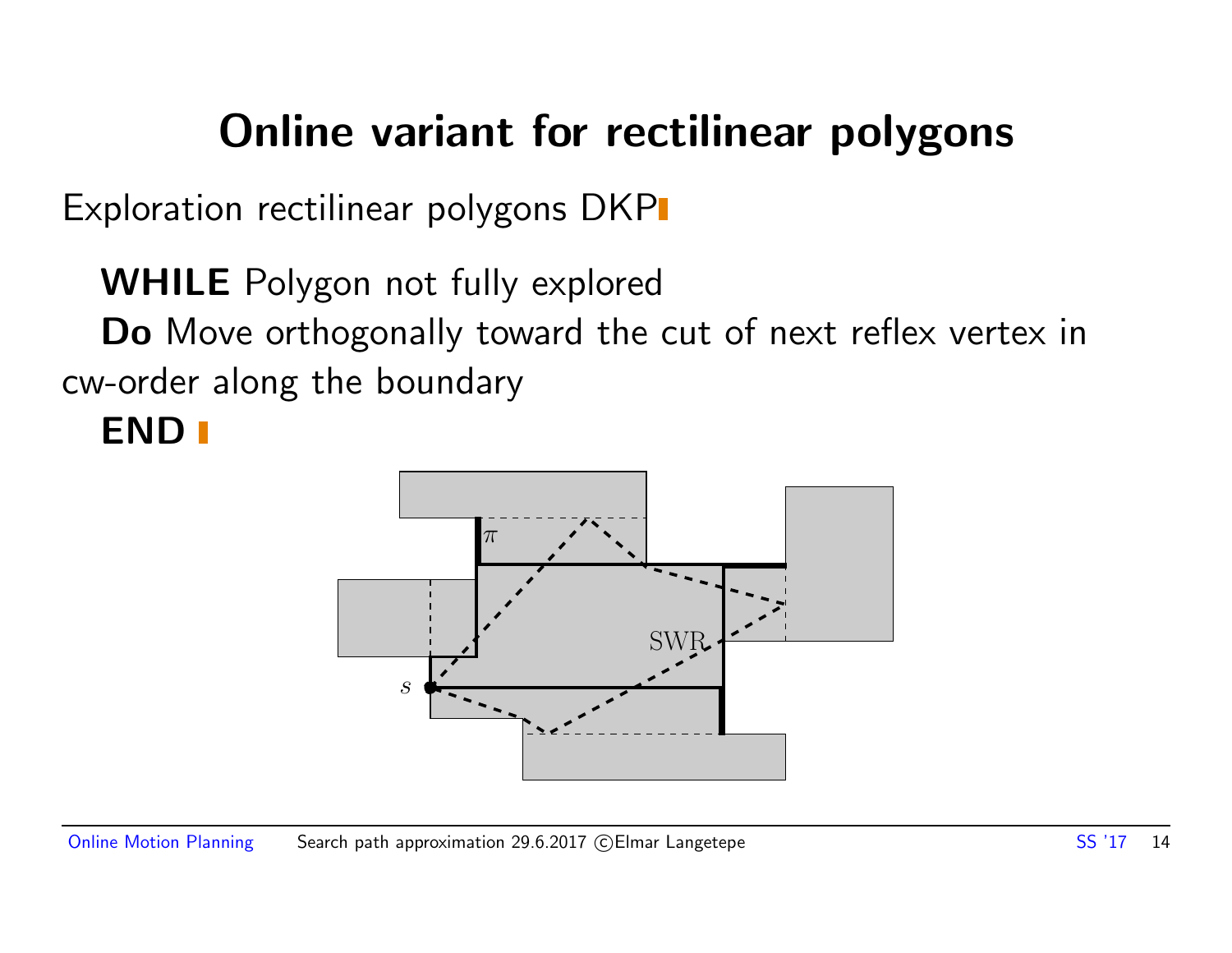### Online variant for rectilinear polygons

Exploration rectilinear polygons DKP

WHILE Polygon not fully explored Do Move orthogonally toward the cut of next reflex vertex in cw-order along the boundary

#### END<sub>I</sub>

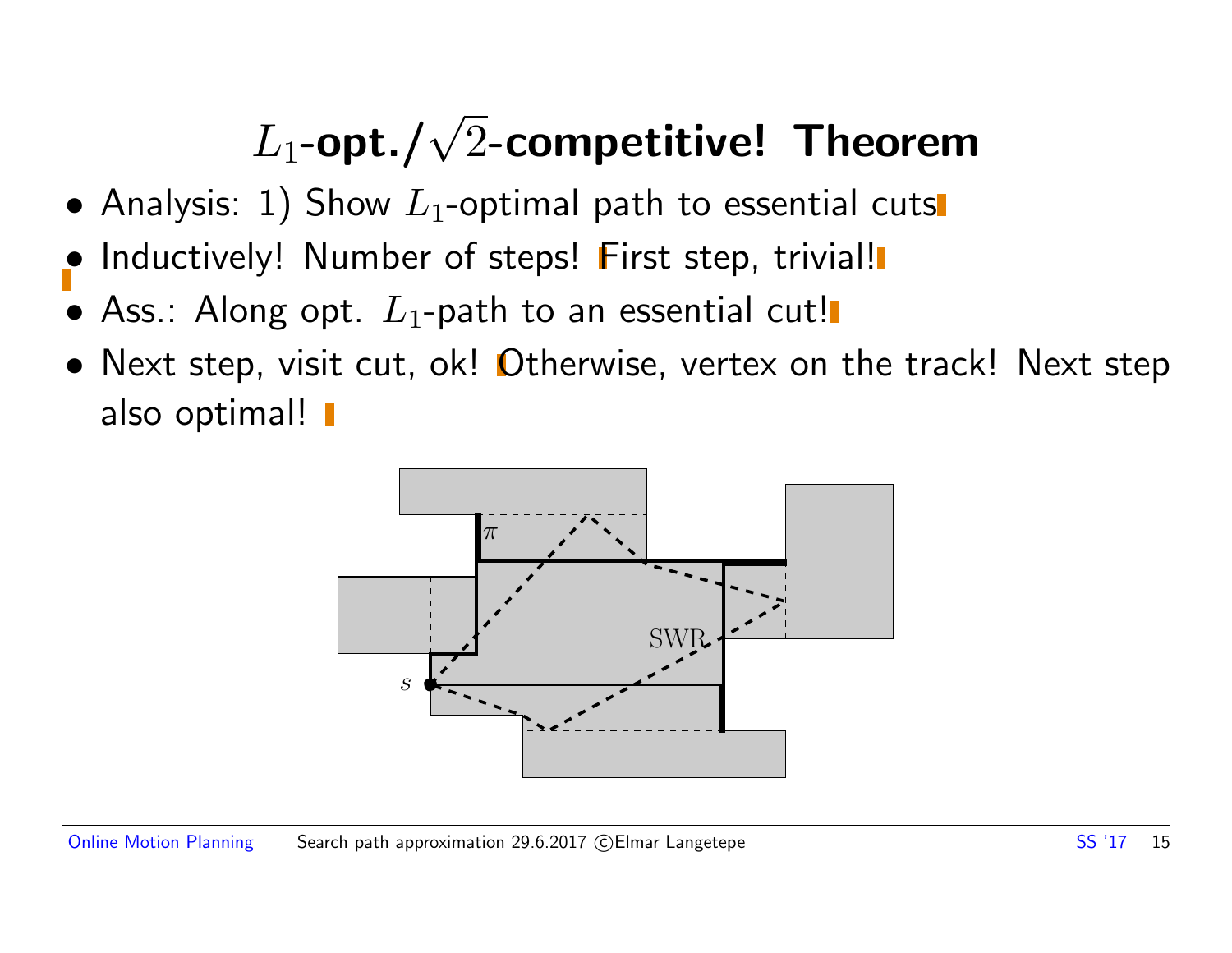- Analysis: 1) Show  $L_1$ -optimal path to essential cuts
- Inductively! Number of steps! First step, trivial!
- Ass.: Along opt.  $L_1$ -path to an essential cut!
- Next step, visit cut, ok! Otherwise, vertex on the track! Next step also optimal! **I**

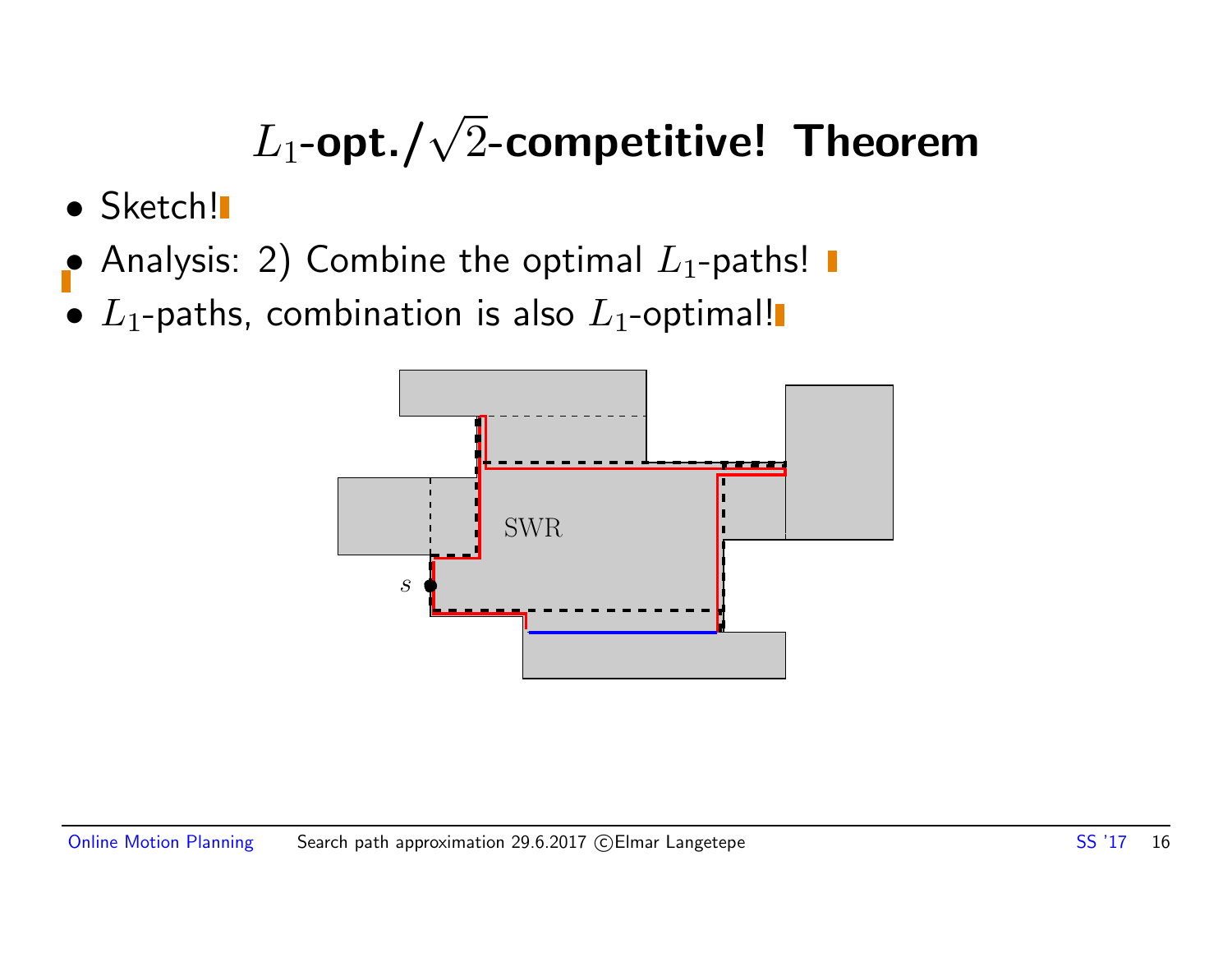- Sketch!
- Analysis: 2) Combine the optimal  $L_1$ -paths!
- $L_1$ -paths, combination is also  $L_1$ -optimal!

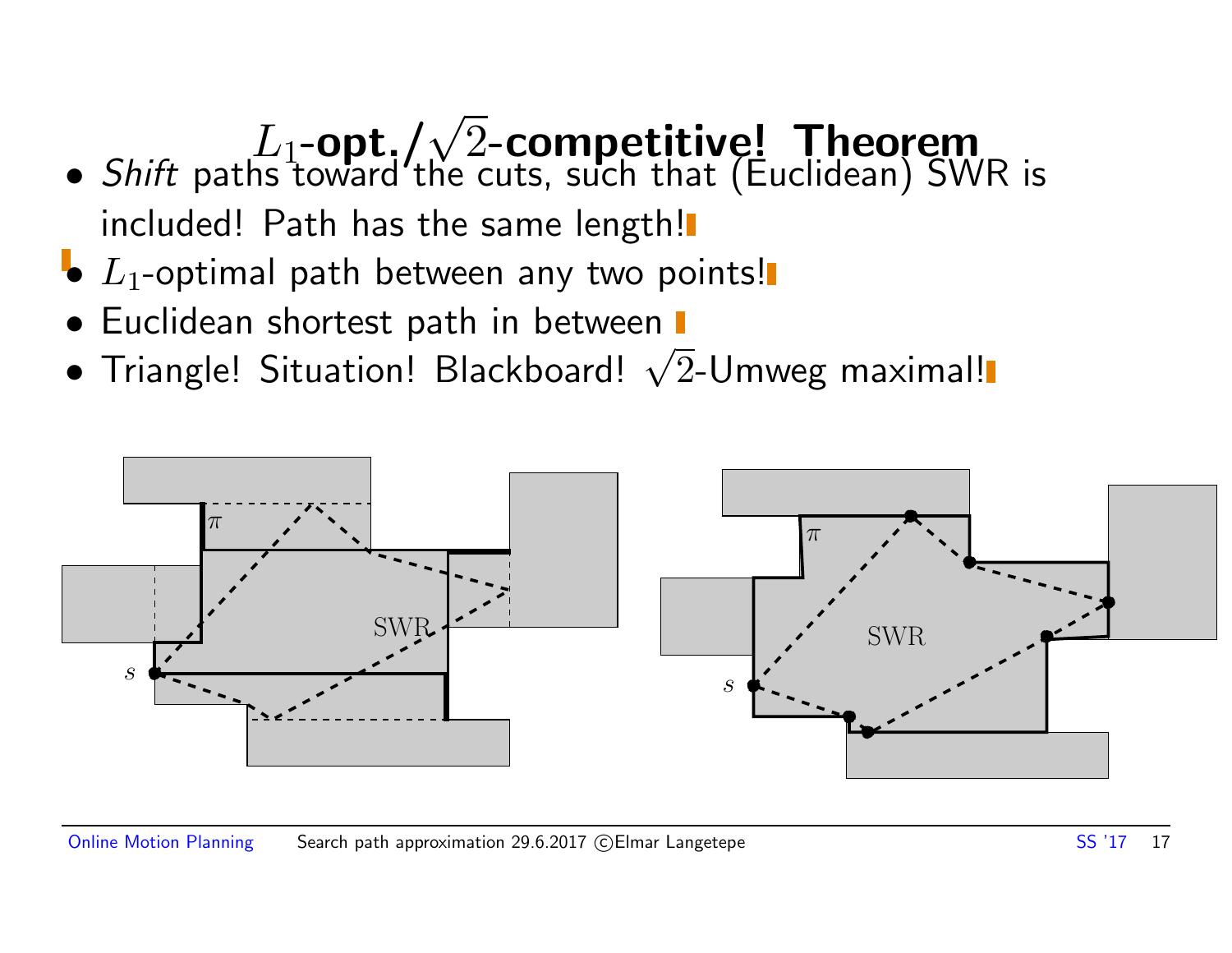- Shift paths toward the cuts, such that (Euclidean) SWR is included! Path has the same length!
- $\bullet$   $L_1$ -optimal path between any two points!
- Euclidean shortest path in between  $\blacksquare$
- Euchdean shortest path in between<br>• Triangle! Situation! Blackboard! √2-Umweg maximal!

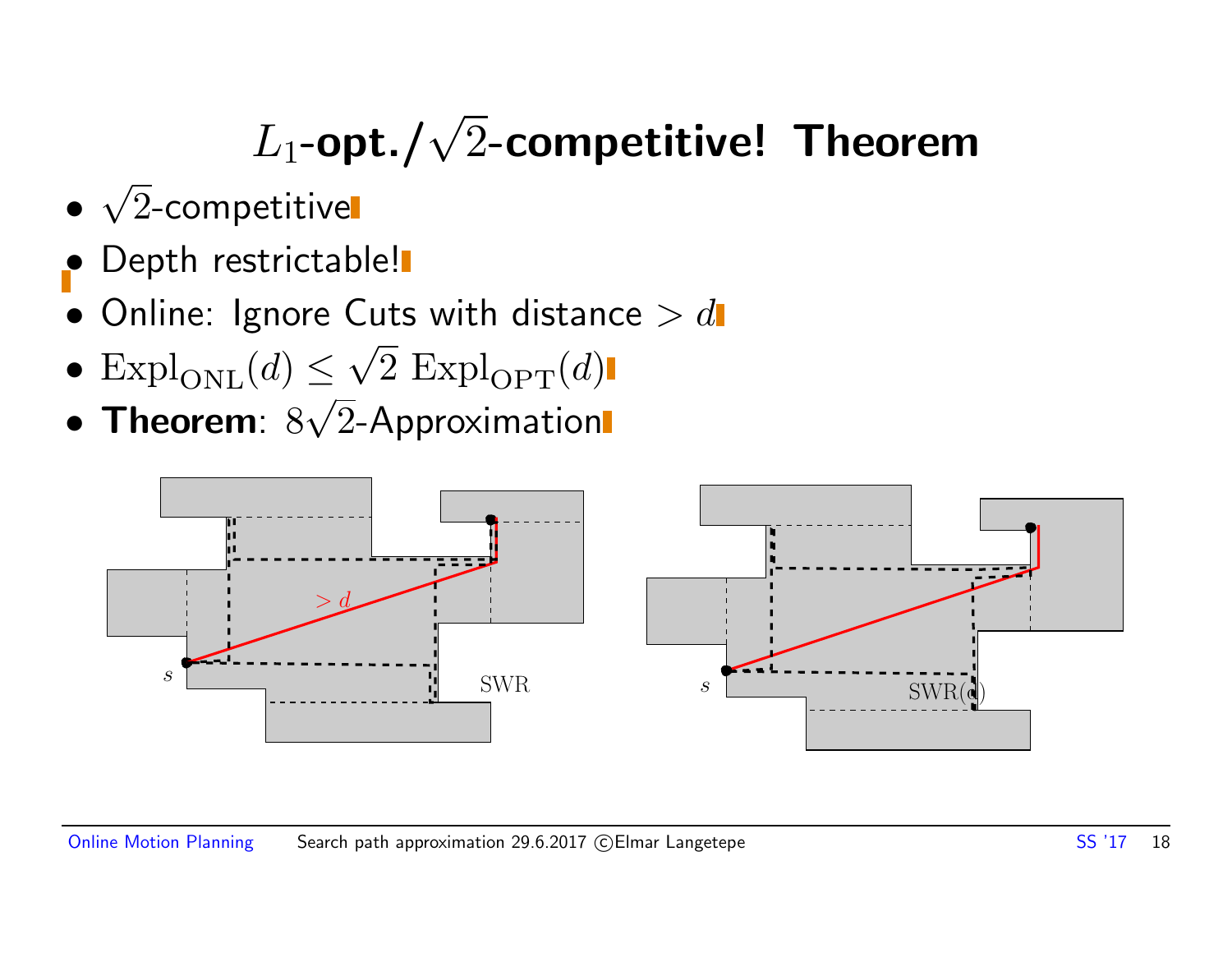- √ 2-competitive
- Depth restrictable!
- $\bullet$  Online: Ignore Cuts with distance  $> d$ √
- $\text{Expl}_{\text{ONL}}(d) \leq \sqrt{2} \text{Expl}_{\text{OPT}}(d)$ √
- Theorem:  $8\sqrt{2}$ -Approximation

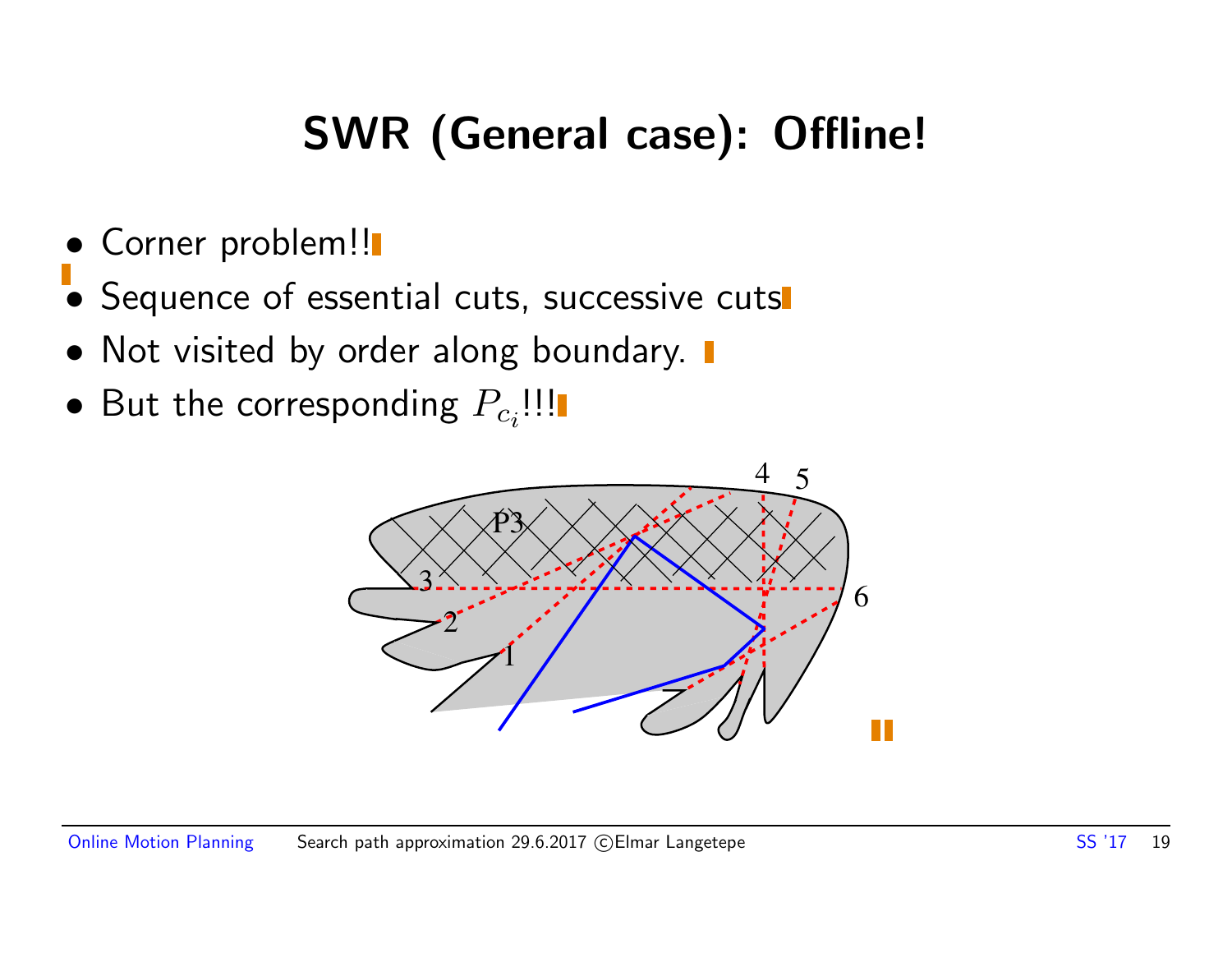### SWR (General case): Offline!

- Corner problem!!
- Sequence of essential cuts, successive cuts
- Not visited by order along boundary.  $\blacksquare$
- $\bullet$  But the corresponding  $P_{c_i}$ !!!

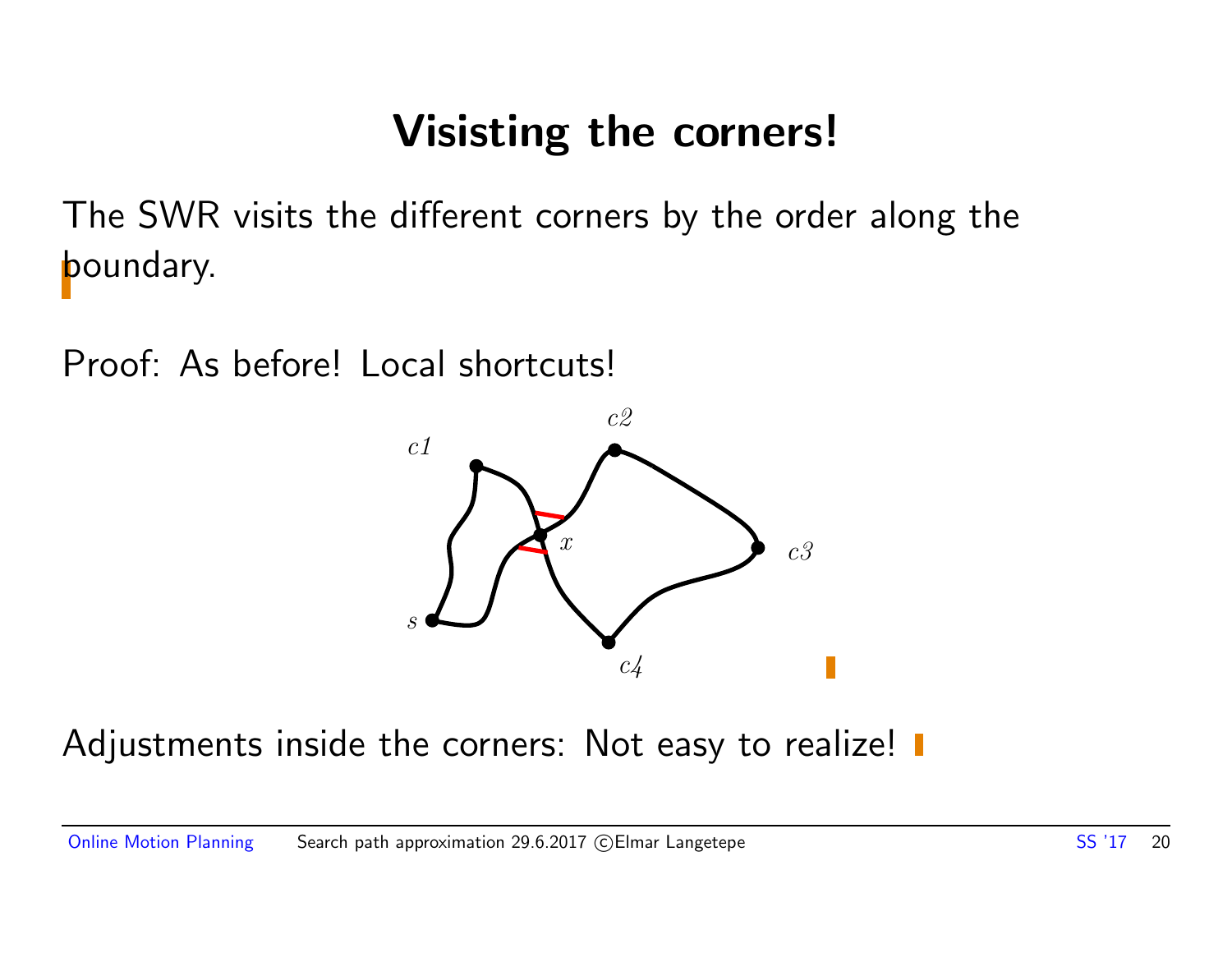### Visisting the corners!

The SWR visits the different corners by the order along the boundary.

Proof: As before! Local shortcuts!



Adjustments inside the corners: Not easy to realize!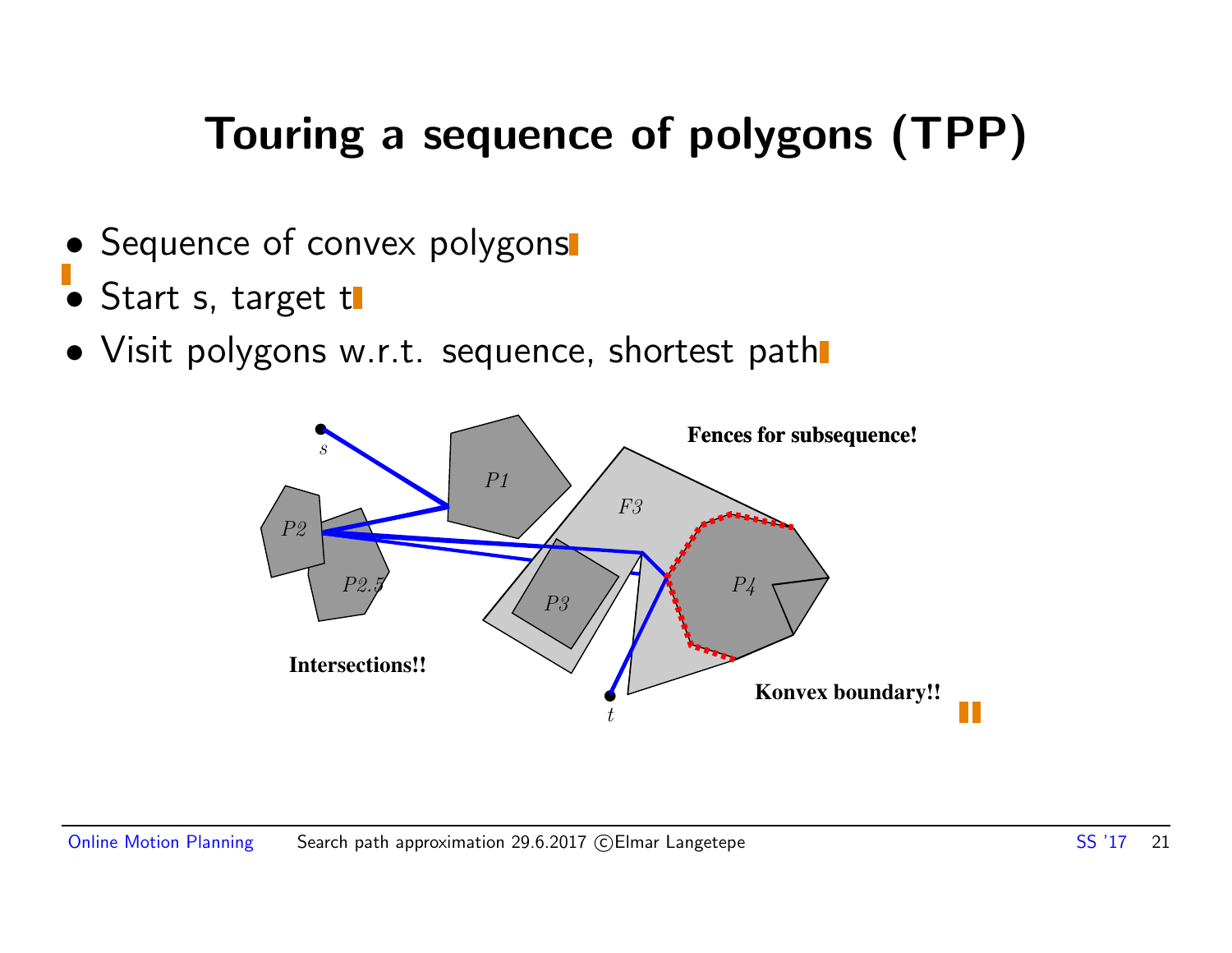### Touring a sequence of polygons (TPP)

- Sequence of convex polygons
- Start s, target t
- Visit polygons w.r.t. sequence, shortest path

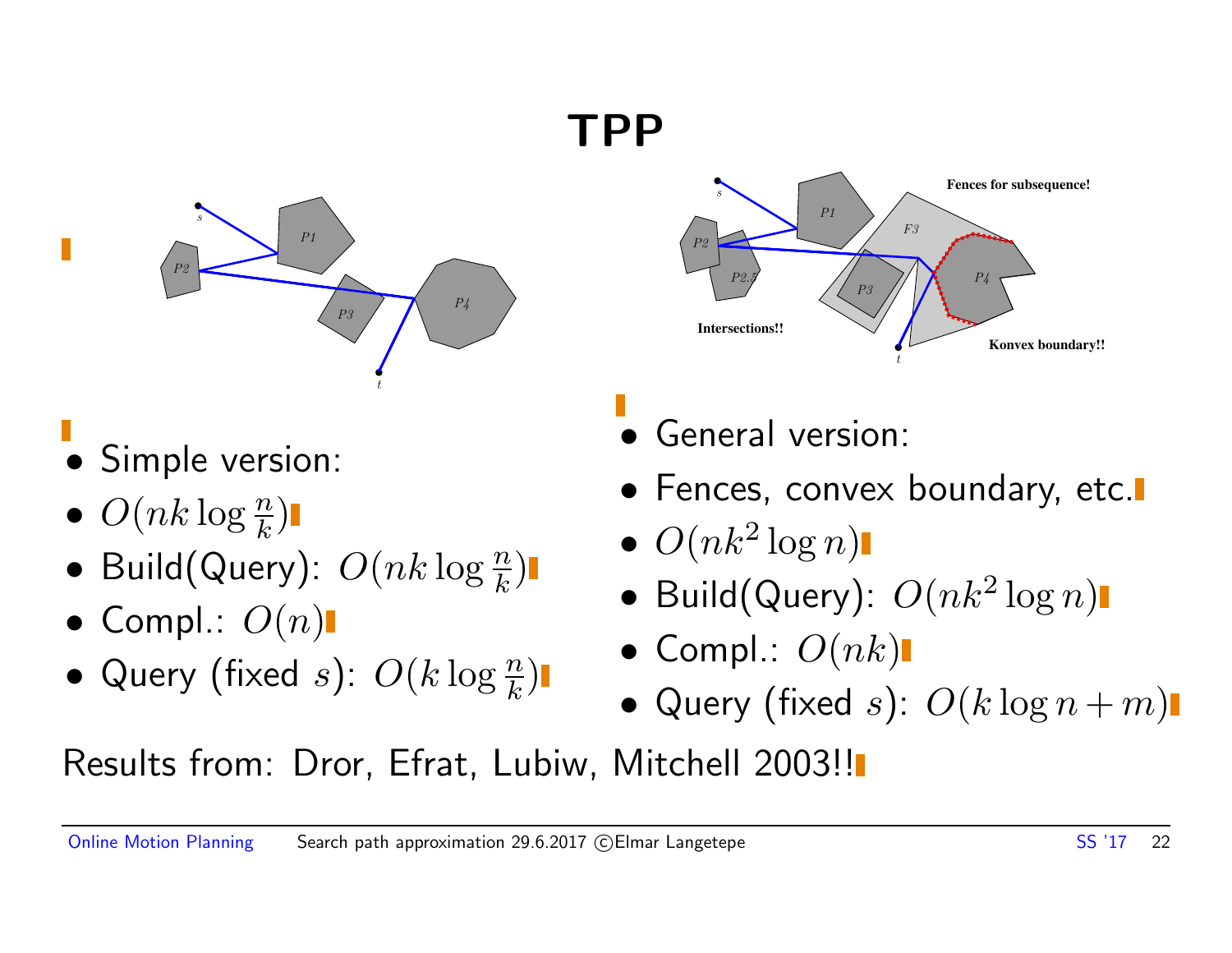### TPP



- Simple version:
- $\bullet$   $O(nk \log \frac{n}{k})$
- Build(Query):  $O(nk \log \frac{n}{k})$
- Compl.:  $O(n)$
- Query (fixed s):  $O(k \log \frac{n}{k})$



- General version:
- Fences, convex boundary, etc.
- $\bullet$   $O(nk^2 \log n)$
- Build(Query):  $O(nk^2 \log n)$
- Compl.:  $O(nk)$
- Query (fixed s):  $O(k \log n + m)$

Results from: Dror, Efrat, Lubiw, Mitchell 2003!!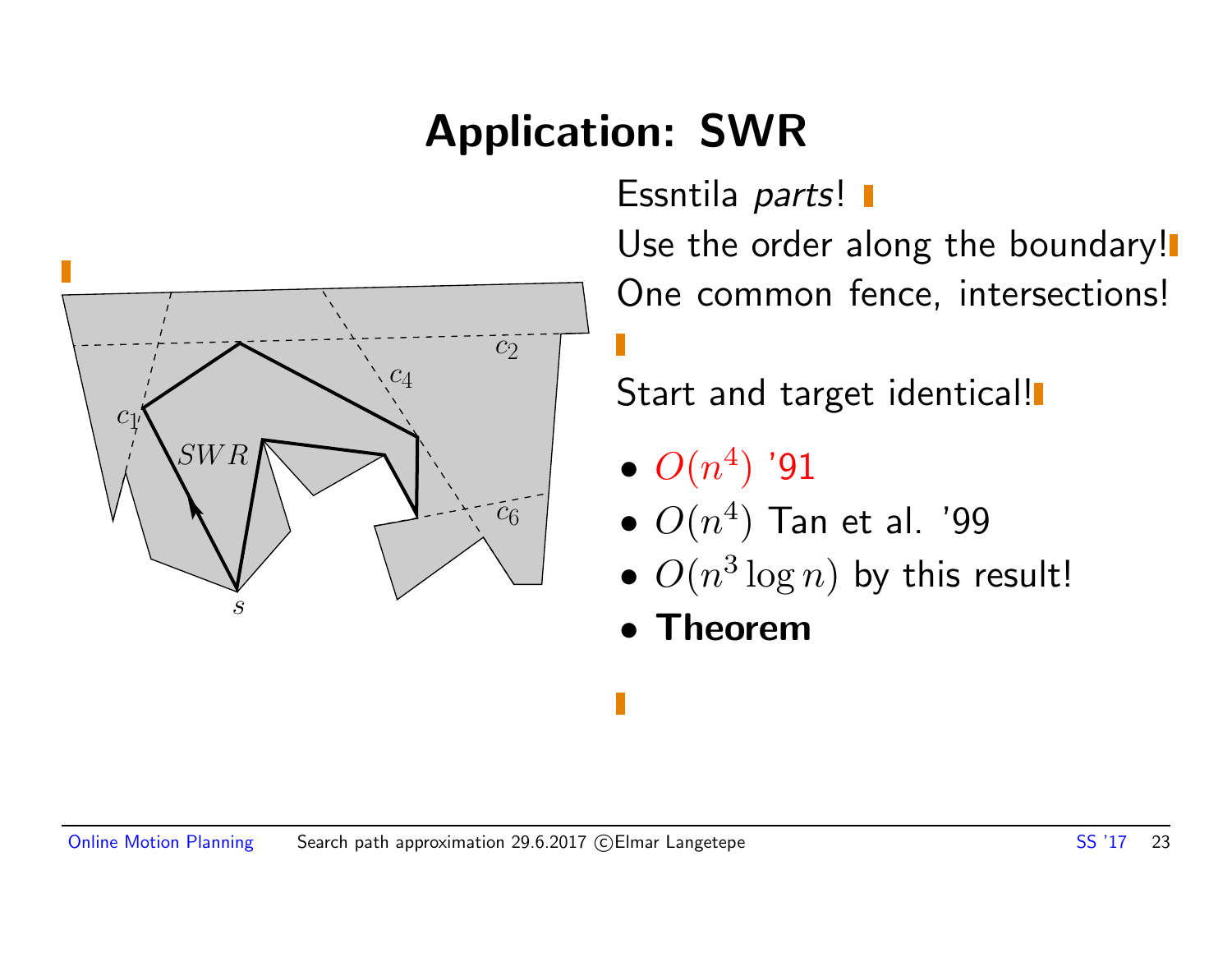### Application: SWR



Essntila parts! I

Use the order along the boundary! One common fence, intersections!

Start and target identical!

- $\bullet$   $O(n^4)$  '91
- $\bullet$   $O(n^4)$  Tan et al. '99
- $O(n^3 \log n)$  by this result!
- Theorem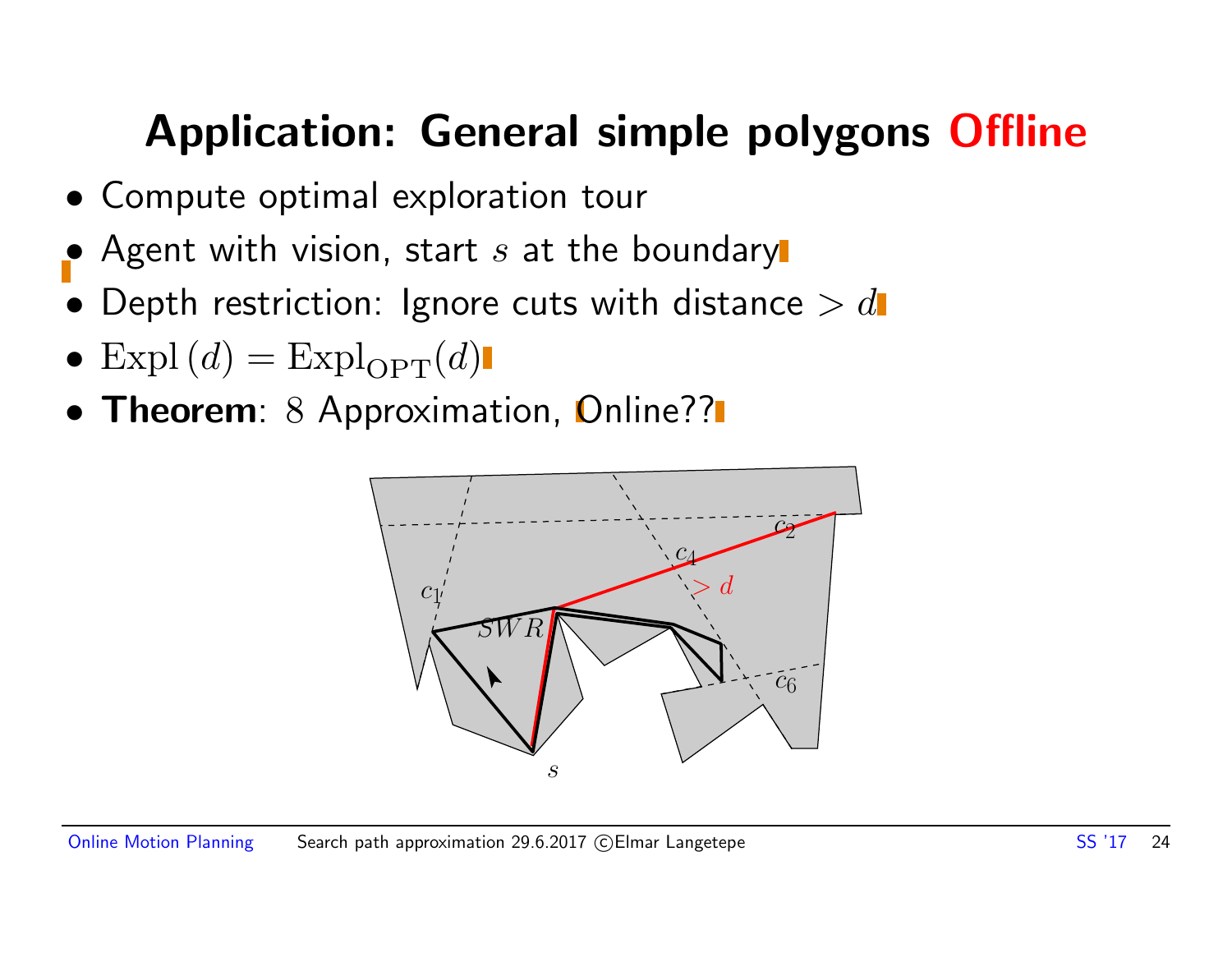### Application: General simple polygons Offline

- Compute optimal exploration tour
- Agent with vision, start  $s$  at the boundary
- Depth restriction: Ignore cuts with distance  $> d$
- Expl $(d)$  = Expl<sub>OPT</sub> $(d)$
- Theorem: 8 Approximation, Online??

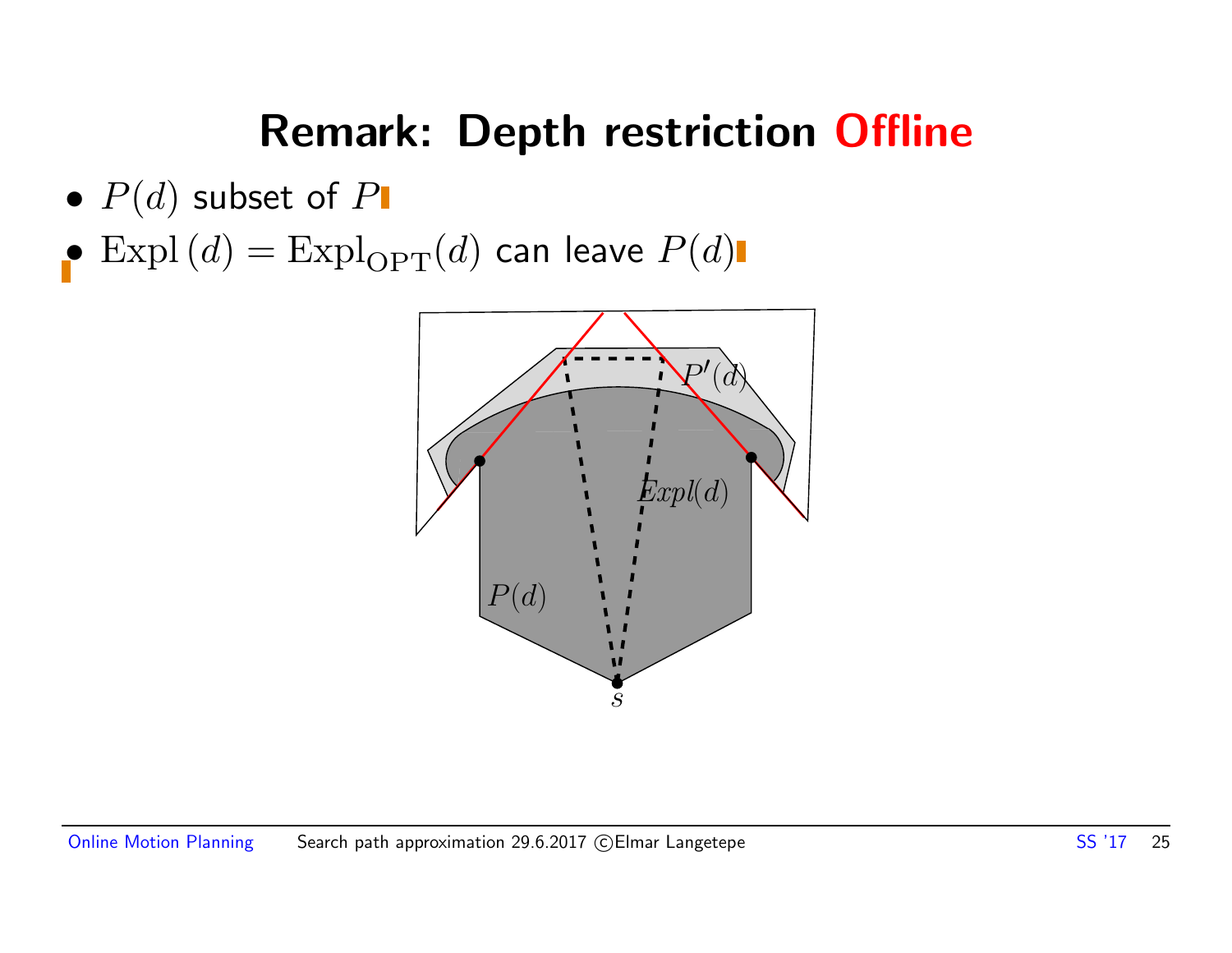### Remark: Depth restriction Offline

- $P(d)$  subset of  $P$
- $\bullet$  Expl $(d)$  = Expl $_{\mathrm{OPT}}(d)$  can leave  $P(d)$

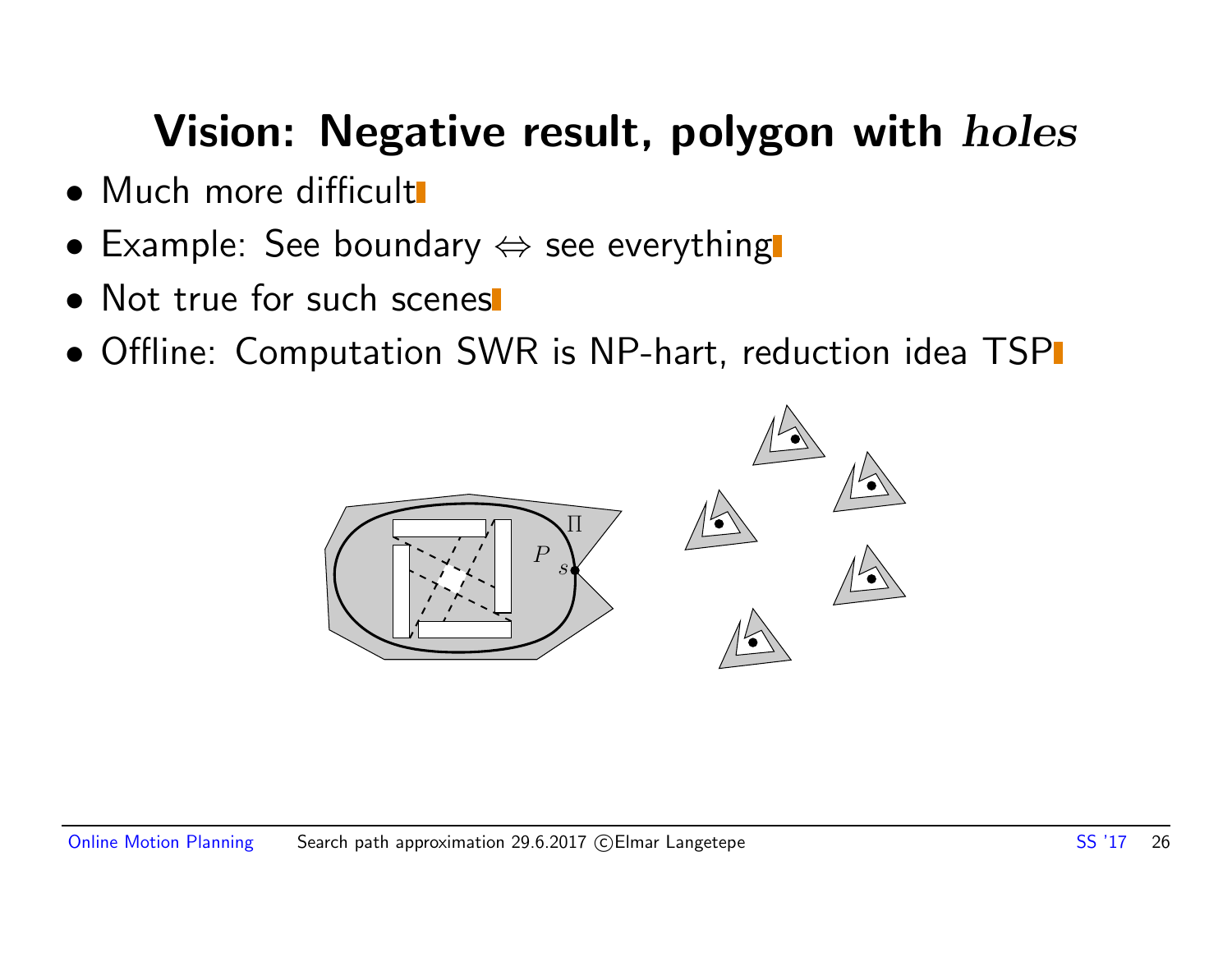### Vision: Negative result, polygon with *holes*

- Much more difficult
- Example: See boundary  $\Leftrightarrow$  see everything
- Not true for such scenes
- Offline: Computation SWR is NP-hart, reduction idea TSP

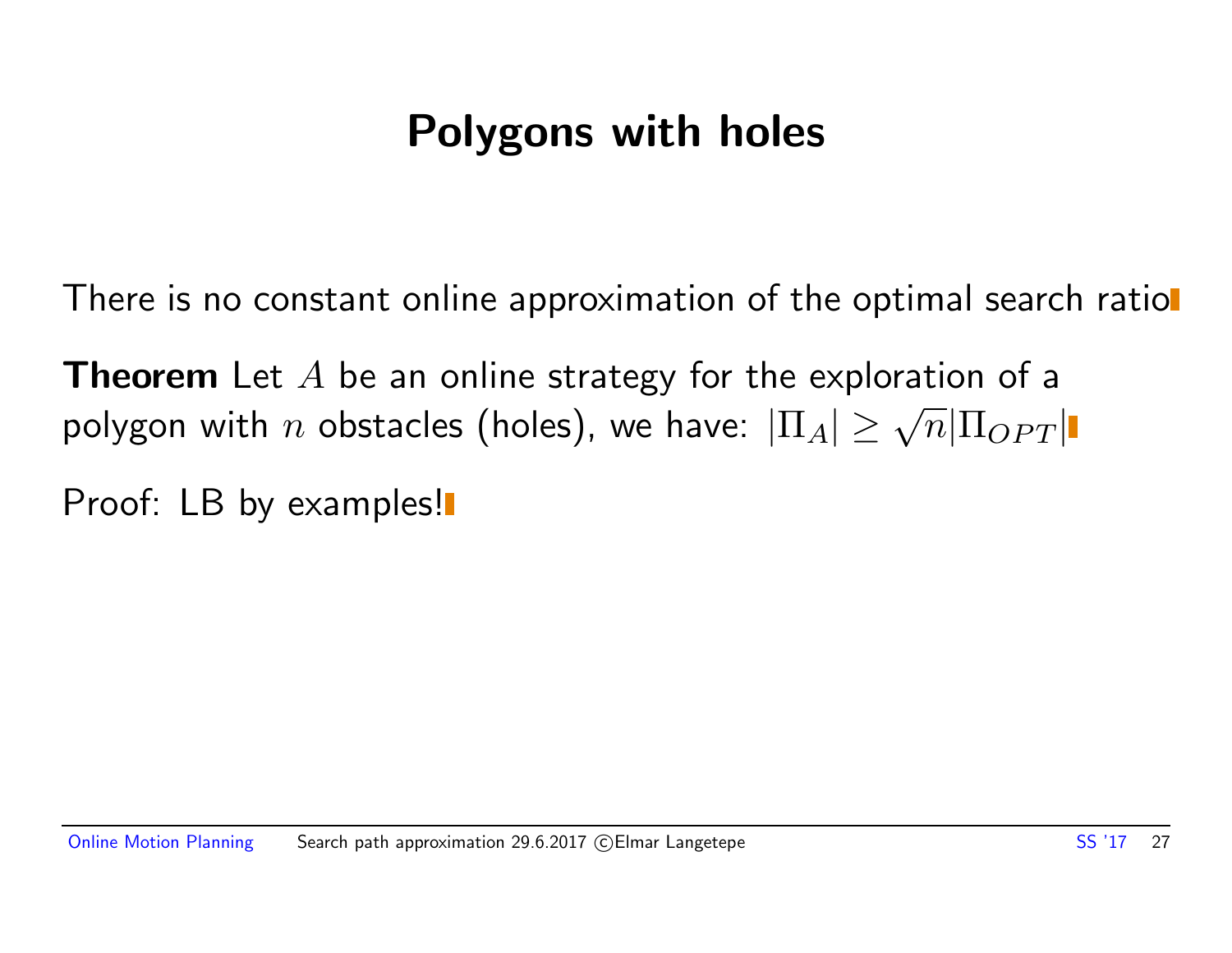### Polygons with holes

There is no constant online approximation of the optimal search ratiol

**Theorem** Let  $A$  be an online strategy for the exploration of a **i** in the case of the conduct of a polygon with  $n$  obstacles (holes), we have:  $|\Pi_A| \ge \sqrt{n} |\Pi_{OPT}|$ 

Proof: LB by examples!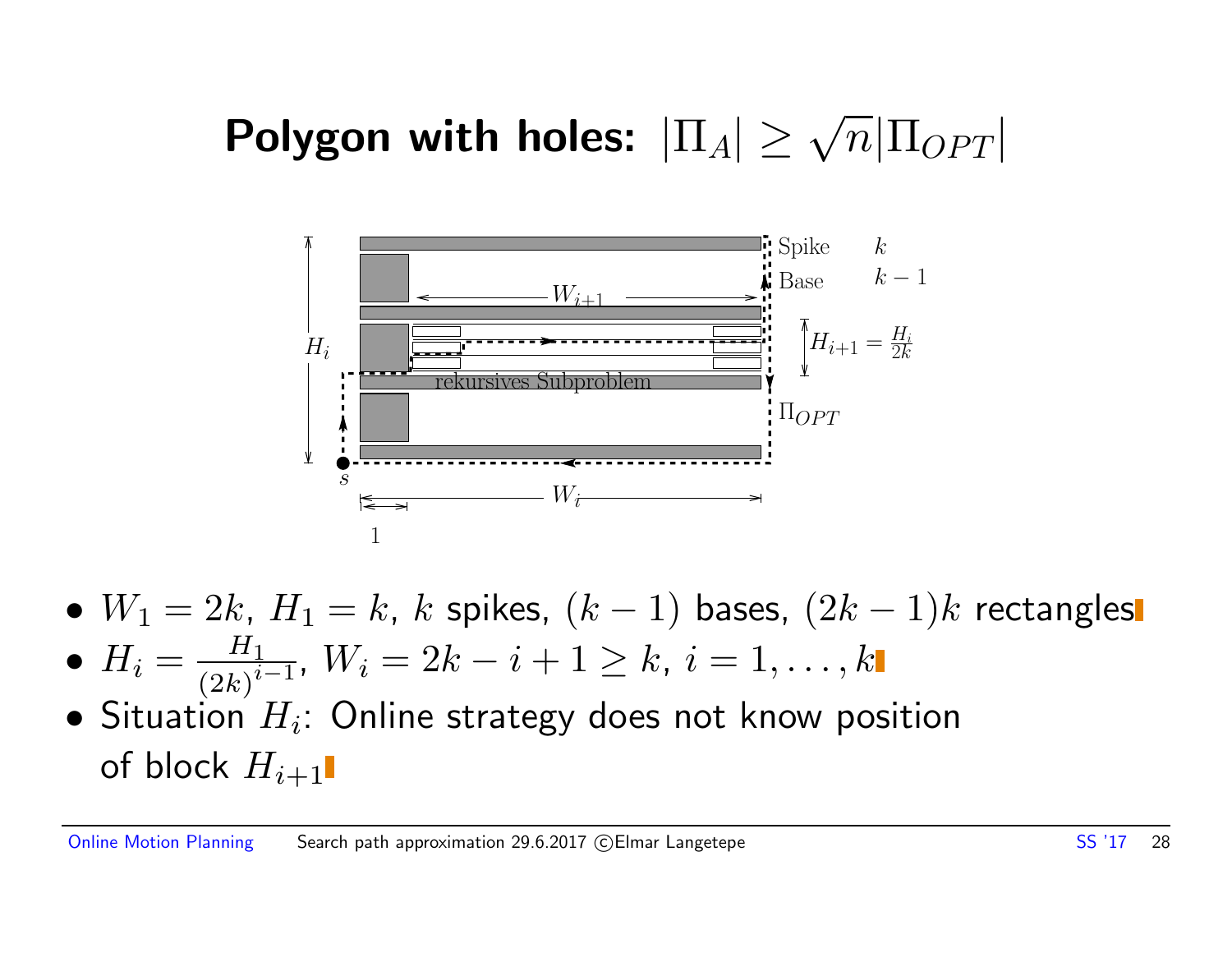### Polygon with holes:  $|\Pi_A| \geq \sqrt{n} |\Pi_{OPT}|$



- $W_1 = 2k$ ,  $H_1 = k$ ,  $k$  spikes,  $(k-1)$  bases,  $(2k-1)k$  rectangles
- $\bullet$   $H_i = \frac{H_1}{\left(\Omega_k\right)^i}$  $\frac{H_1}{(2k)^{i-1}}$ ,  $W_i = 2k-i+1 \geq k, \: i=1,\ldots,k$
- $\bullet$  Situation  $H_i$ : Online strategy does not know position of block  $H_{i+1}$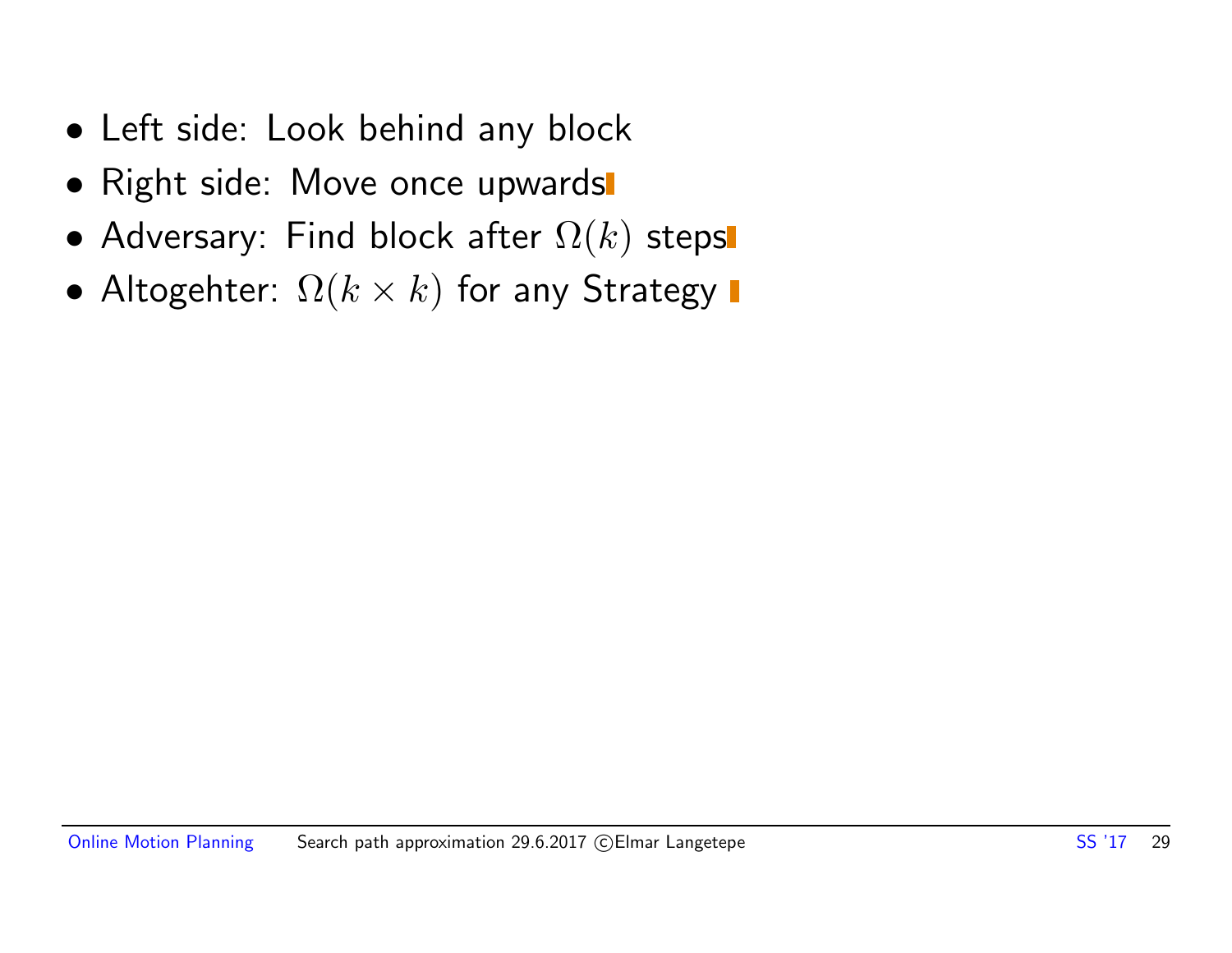- Left side: Look behind any block
- Right side: Move once upwards
- Adversary: Find block after  $\Omega(k)$  steps
- Altogehter:  $\Omega(k \times k)$  for any Strategy  $\blacksquare$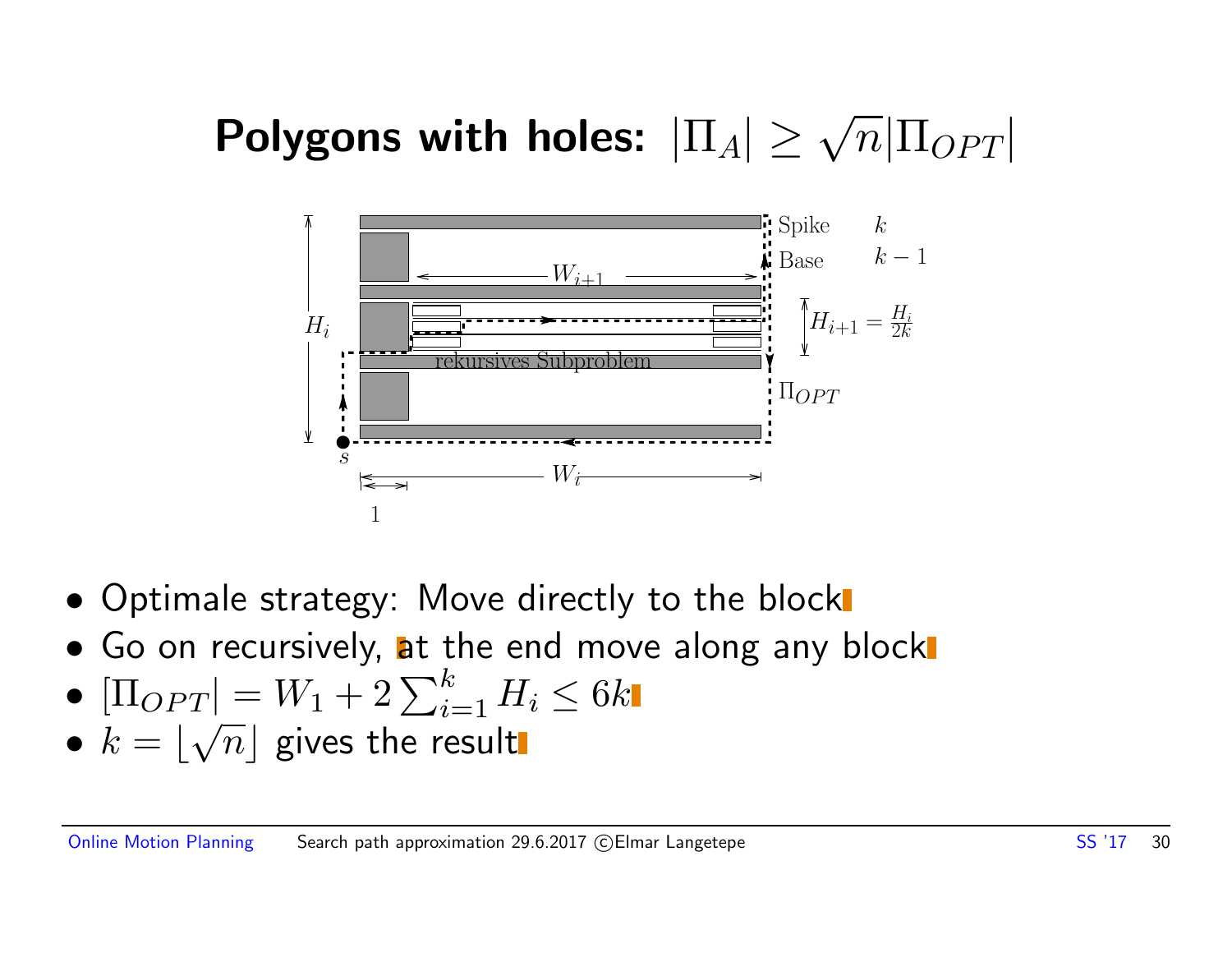### Polygons with holes:  $|\Pi_A|\geq \sqrt{n}|\Pi_{OPT}|$



- Optimale strategy: Move directly to the block
- Go on recursively, at the end move along any block
- $[\Pi_{OPT}] = W_1 + 2 \sum_{i=1}^k H_i \leq 6k$
- $\bullet$   $k = |\sqrt{n}|$  gives the result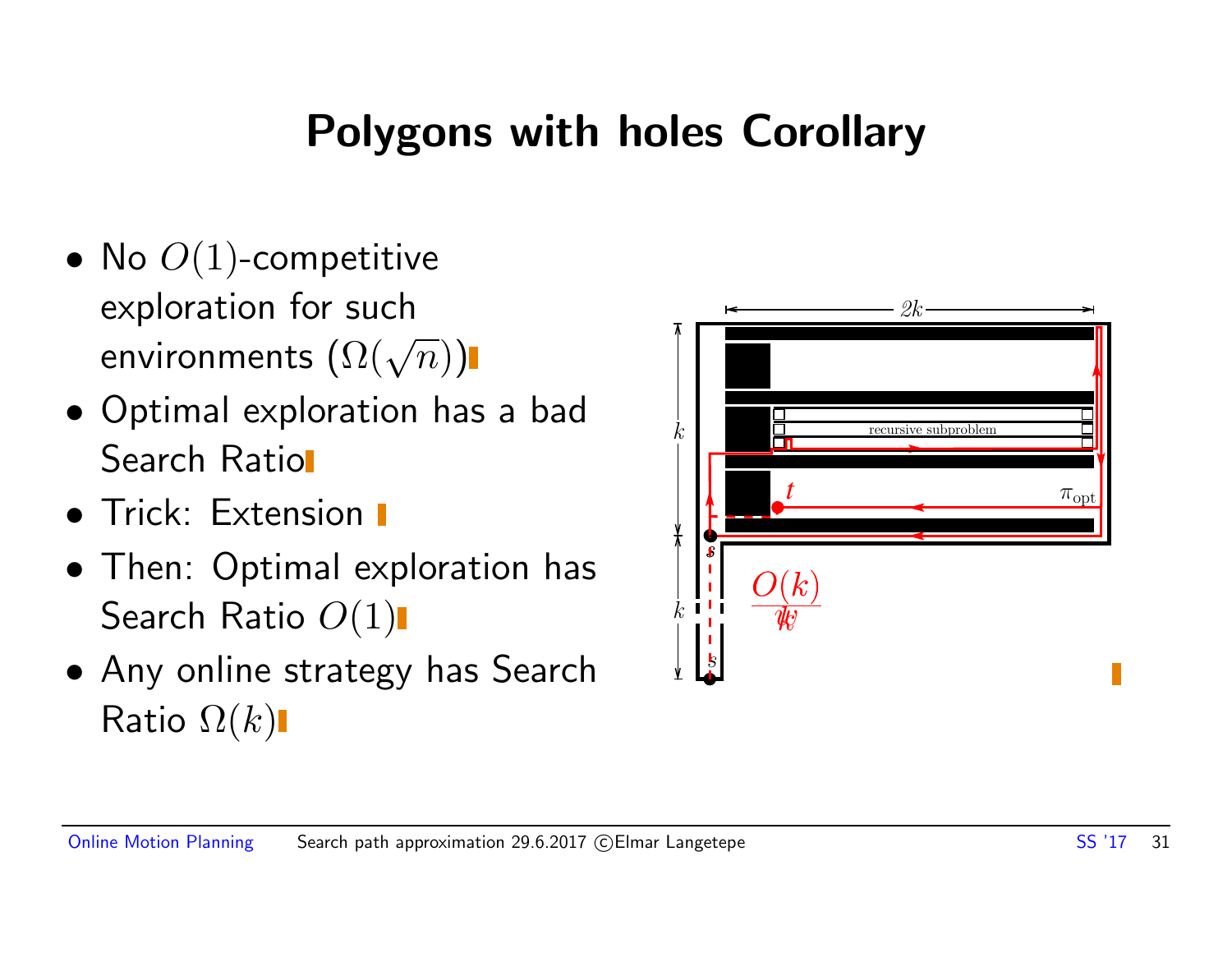### Polygons with holes Corollary

- No  $O(1)$ -competitive exploration for such exploration for such  $\mathsf{env}$ ironments  $(\Omega(\sqrt{n}))$
- Optimal exploration has a bad Search Ratio
- **Trick: Extension I**
- Then: Optimal exploration has Search Ratio  $O(1)$
- Any online strategy has Search Ratio  $\Omega(k)$